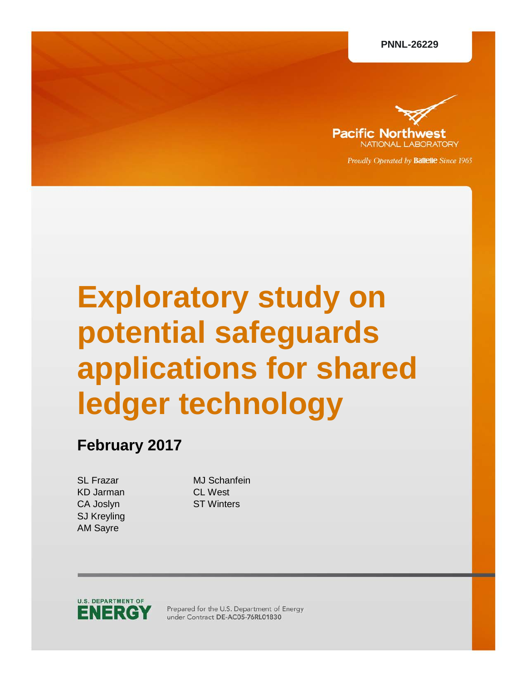

Proudly Operated by Battelle Since 1965

# **Exploratory study on potential safeguards applications for shared ledger technology**

# **February 2017**

KD Jarman CL West CA Joslyn ST Winters SJ Kreyling AM Sayre

SL Frazar MJ Schanfein



Prepared for the U.S. Department of Energy under Contract DE-AC05-76RL01830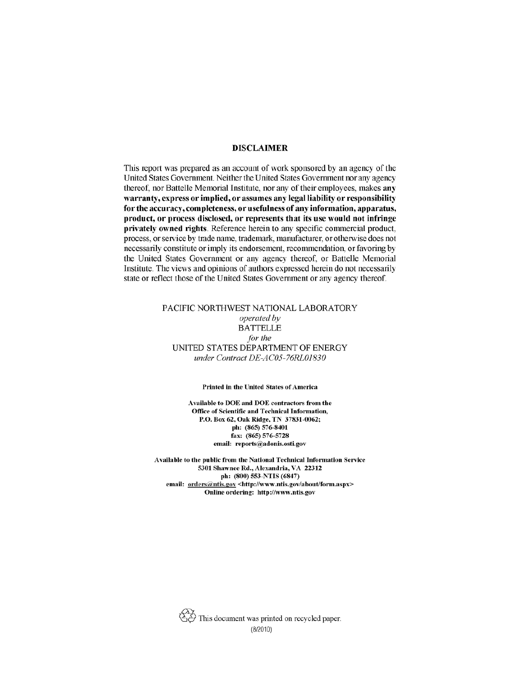#### **DISCLAIMER**

This report was prepared as an account of work sponsored by an agency of the United States Government. Neither the United States Government nor any agency thereof, nor Battelle Memorial Institute, nor any of their employees, makes any warranty, express or implied, or assumes any legal liability or responsibility for the accuracy, completeness, or usefulness of any information, apparatus, product, or process disclosed, or represents that its use would not infringe privately owned rights. Reference herein to any specific commercial product, process, or service by trade name, trademark, manufacturer, or otherwise does not necessarily constitute or imply its endorsement, recommendation, or favoring by the United States Government or any agency thereof, or Battelle Memorial Institute. The views and opinions of authors expressed herein do not necessarily state or reflect those of the United States Government or any agency thereof.

#### PACIFIC NORTHWEST NATIONAL LABORATORY operated by **BATTELLE** for the UNITED STATES DEPARTMENT OF ENERGY under Contract DE-AC05-76RL01830

#### **Printed in the United States of America**

Available to DOE and DOE contractors from the Office of Scientific and Technical Information, P.O. Box 62, Oak Ridge, TN 37831-0062; ph: (865) 576-8401 fax: (865) 576-5728 email: reports@adonis.osti.gov

Available to the public from the National Technical Information Service 5301 Shawnee Rd., Alexandria, VA 22312 ph: (800) 553-NTIS (6847) email: orders@ntis.gov <http://www.ntis.gov/about/form.aspx> Online ordering: http://www.ntis.gov

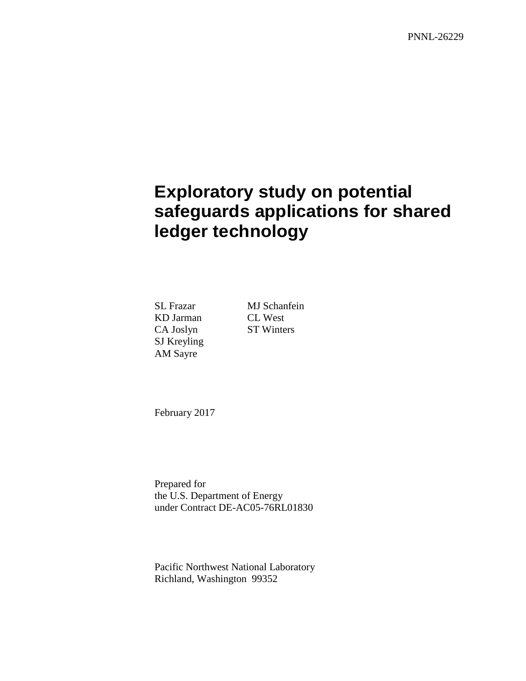PNNL-26229

# **Exploratory study on potential safeguards applications for shared ledger technology**

KD Jarman CL West CA Joslyn ST Winters SJ Kreyling AM Sayre

SL Frazar MJ Schanfein

February 2017

Prepared for the U.S. Department of Energy under Contract DE-AC05-76RL01830

Pacific Northwest National Laboratory Richland, Washington 99352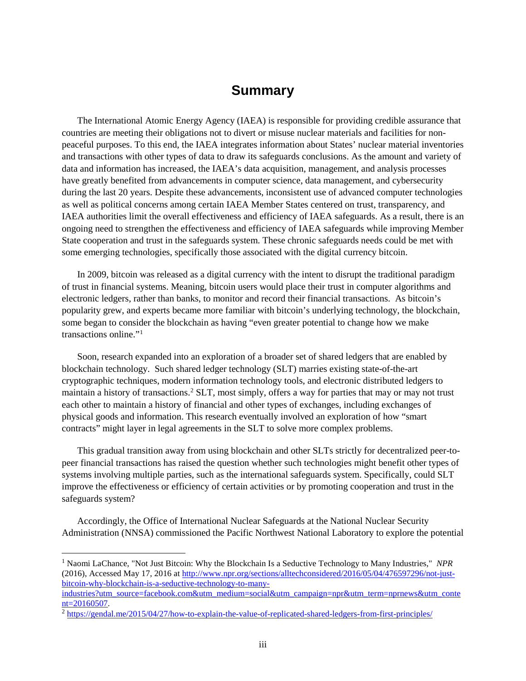#### **Summary**

<span id="page-5-2"></span>The International Atomic Energy Agency (IAEA) is responsible for providing credible assurance that countries are meeting their obligations not to divert or misuse nuclear materials and facilities for nonpeaceful purposes. To this end, the IAEA integrates information about States' nuclear material inventories and transactions with other types of data to draw its safeguards conclusions. As the amount and variety of data and information has increased, the IAEA's data acquisition, management, and analysis processes have greatly benefited from advancements in computer science, data management, and cybersecurity during the last 20 years. Despite these advancements, inconsistent use of advanced computer technologies as well as political concerns among certain IAEA Member States centered on trust, transparency, and IAEA authorities limit the overall effectiveness and efficiency of IAEA safeguards. As a result, there is an ongoing need to strengthen the effectiveness and efficiency of IAEA safeguards while improving Member State cooperation and trust in the safeguards system. These chronic safeguards needs could be met with some emerging technologies, specifically those associated with the digital currency bitcoin.

In 2009, bitcoin was released as a digital currency with the intent to disrupt the traditional paradigm of trust in financial systems. Meaning, bitcoin users would place their trust in computer algorithms and electronic ledgers, rather than banks, to monitor and record their financial transactions. As bitcoin's popularity grew, and experts became more familiar with bitcoin's underlying technology, the blockchain, some began to consider the blockchain as having "even greater potential to change how we make transactions online."[1](#page-5-0)

Soon, research expanded into an exploration of a broader set of shared ledgers that are enabled by blockchain technology. Such shared ledger technology (SLT) marries existing state-of-the-art cryptographic techniques, modern information technology tools, and electronic distributed ledgers to maintain a history of transactions.[2](#page-5-1) SLT, most simply, offers a way for parties that may or may not trust each other to maintain a history of financial and other types of exchanges, including exchanges of physical goods and information. This research eventually involved an exploration of how "smart contracts" might layer in legal agreements in the SLT to solve more complex problems.

This gradual transition away from using blockchain and other SLTs strictly for decentralized peer-topeer financial transactions has raised the question whether such technologies might benefit other types of systems involving multiple parties, such as the international safeguards system. Specifically, could SLT improve the effectiveness or efficiency of certain activities or by promoting cooperation and trust in the safeguards system?

Accordingly, the Office of International Nuclear Safeguards at the National Nuclear Security Administration (NNSA) commissioned the Pacific Northwest National Laboratory to explore the potential

<span id="page-5-0"></span> 1 Naomi LaChance, "Not Just Bitcoin: Why the Blockchain Is a Seductive Technology to Many Industries," *NPR* (2016), Accessed May 17, 2016 at [http://www.npr.org/sections/alltechconsidered/2016/05/04/476597296/not-just](http://www.npr.org/sections/alltechconsidered/2016/05/04/476597296/not-just-bitcoin-why-blockchain-is-a-seductive-technology-to-many-industries?utm_source=facebook.com&utm_medium=social&utm_campaign=npr&utm_term=nprnews&utm_content=20160507)[bitcoin-why-blockchain-is-a-seductive-technology-to-many-](http://www.npr.org/sections/alltechconsidered/2016/05/04/476597296/not-just-bitcoin-why-blockchain-is-a-seductive-technology-to-many-industries?utm_source=facebook.com&utm_medium=social&utm_campaign=npr&utm_term=nprnews&utm_content=20160507)

[industries?utm\\_source=facebook.com&utm\\_medium=social&utm\\_campaign=npr&utm\\_term=nprnews&utm\\_conte](http://www.npr.org/sections/alltechconsidered/2016/05/04/476597296/not-just-bitcoin-why-blockchain-is-a-seductive-technology-to-many-industries?utm_source=facebook.com&utm_medium=social&utm_campaign=npr&utm_term=nprnews&utm_content=20160507) [nt=20160507.](http://www.npr.org/sections/alltechconsidered/2016/05/04/476597296/not-just-bitcoin-why-blockchain-is-a-seductive-technology-to-many-industries?utm_source=facebook.com&utm_medium=social&utm_campaign=npr&utm_term=nprnews&utm_content=20160507)

<span id="page-5-1"></span><sup>2</sup> <https://gendal.me/2015/04/27/how-to-explain-the-value-of-replicated-shared-ledgers-from-first-principles/>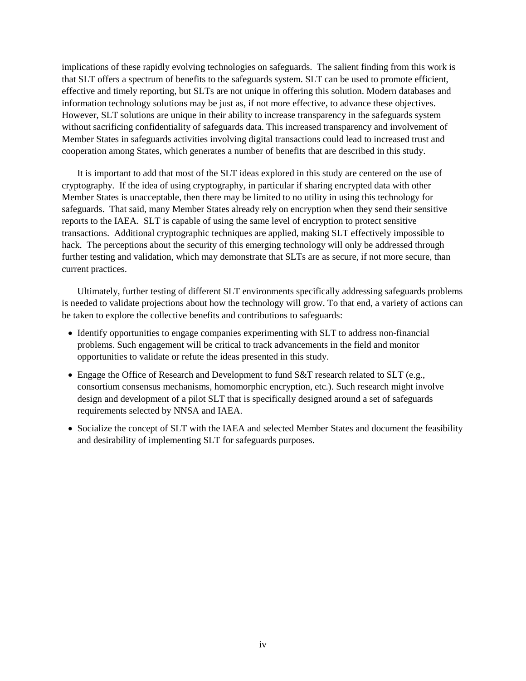implications of these rapidly evolving technologies on safeguards. The salient finding from this work is that SLT offers a spectrum of benefits to the safeguards system. SLT can be used to promote efficient, effective and timely reporting, but SLTs are not unique in offering this solution. Modern databases and information technology solutions may be just as, if not more effective, to advance these objectives. However, SLT solutions are unique in their ability to increase transparency in the safeguards system without sacrificing confidentiality of safeguards data. This increased transparency and involvement of Member States in safeguards activities involving digital transactions could lead to increased trust and cooperation among States, which generates a number of benefits that are described in this study.

It is important to add that most of the SLT ideas explored in this study are centered on the use of cryptography. If the idea of using cryptography, in particular if sharing encrypted data with other Member States is unacceptable, then there may be limited to no utility in using this technology for safeguards. That said, many Member States already rely on encryption when they send their sensitive reports to the IAEA. SLT is capable of using the same level of encryption to protect sensitive transactions. Additional cryptographic techniques are applied, making SLT effectively impossible to hack. The perceptions about the security of this emerging technology will only be addressed through further testing and validation, which may demonstrate that SLTs are as secure, if not more secure, than current practices.

Ultimately, further testing of different SLT environments specifically addressing safeguards problems is needed to validate projections about how the technology will grow. To that end, a variety of actions can be taken to explore the collective benefits and contributions to safeguards:

- Identify opportunities to engage companies experimenting with SLT to address non-financial problems. Such engagement will be critical to track advancements in the field and monitor opportunities to validate or refute the ideas presented in this study.
- Engage the Office of Research and Development to fund S&T research related to SLT (e.g., consortium consensus mechanisms, homomorphic encryption, etc.). Such research might involve design and development of a pilot SLT that is specifically designed around a set of safeguards requirements selected by NNSA and IAEA.
- Socialize the concept of SLT with the IAEA and selected Member States and document the feasibility and desirability of implementing SLT for safeguards purposes.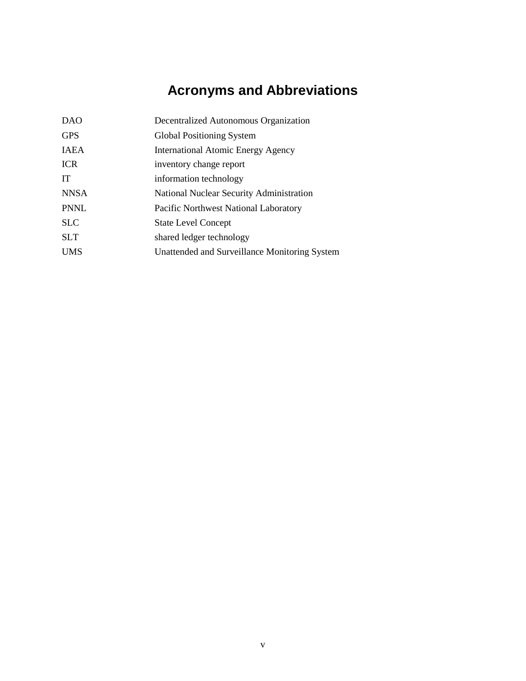# **Acronyms and Abbreviations**

<span id="page-7-0"></span>

| <b>DAO</b>  | Decentralized Autonomous Organization         |
|-------------|-----------------------------------------------|
| <b>GPS</b>  | Global Positioning System                     |
| <b>IAEA</b> | <b>International Atomic Energy Agency</b>     |
| <b>ICR</b>  | inventory change report                       |
| <b>IT</b>   | information technology                        |
| <b>NNSA</b> | National Nuclear Security Administration      |
| <b>PNNL</b> | Pacific Northwest National Laboratory         |
| <b>SLC</b>  | <b>State Level Concept</b>                    |
| <b>SLT</b>  | shared ledger technology                      |
| <b>UMS</b>  | Unattended and Surveillance Monitoring System |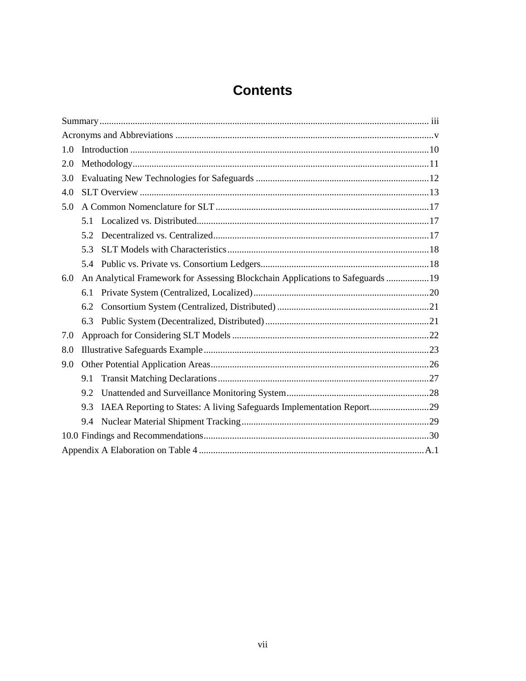# **Contents**

| 1.0                                                                                    |
|----------------------------------------------------------------------------------------|
| 2.0                                                                                    |
| 3.0                                                                                    |
| 4.0                                                                                    |
| 5.0                                                                                    |
| 51                                                                                     |
| 5.2                                                                                    |
| 5.3                                                                                    |
| 5.4                                                                                    |
| An Analytical Framework for Assessing Blockchain Applications to Safeguards  19<br>6.0 |
| 6.1                                                                                    |
| 6.2                                                                                    |
| 6.3                                                                                    |
| 7.0                                                                                    |
| 8.0                                                                                    |
| 9.0                                                                                    |
| 9.1                                                                                    |
| 9.2                                                                                    |
| IAEA Reporting to States: A living Safeguards Implementation Report29<br>9.3           |
| 9.4                                                                                    |
|                                                                                        |
|                                                                                        |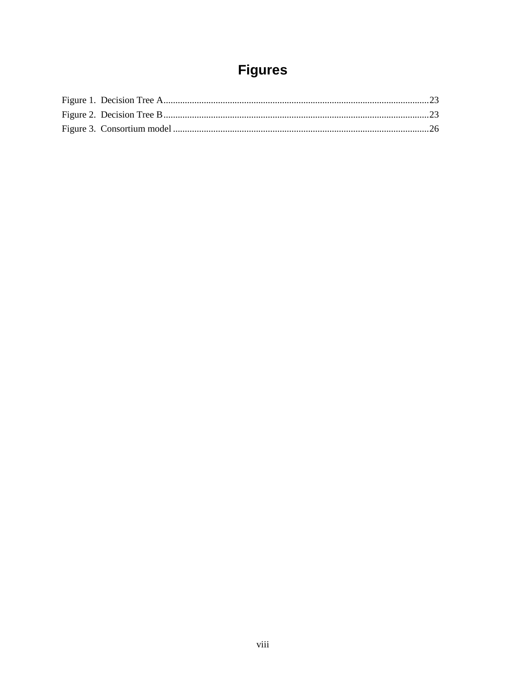# **Figures**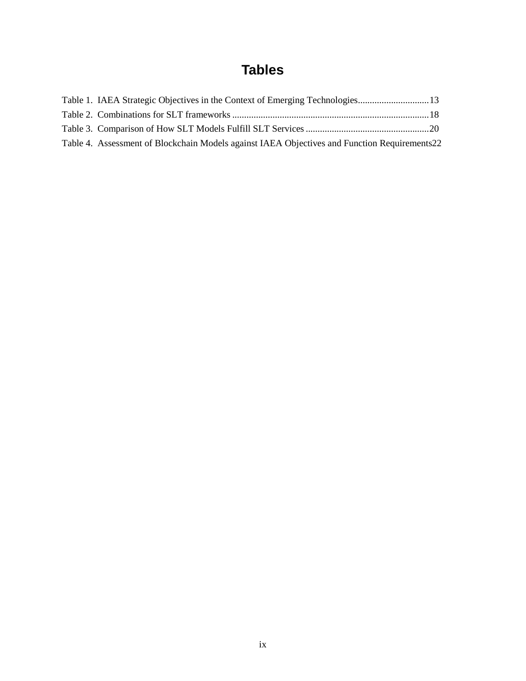# **Tables**

<span id="page-11-0"></span>

| Table 4. Assessment of Blockchain Models against IAEA Objectives and Function Requirements22 |  |
|----------------------------------------------------------------------------------------------|--|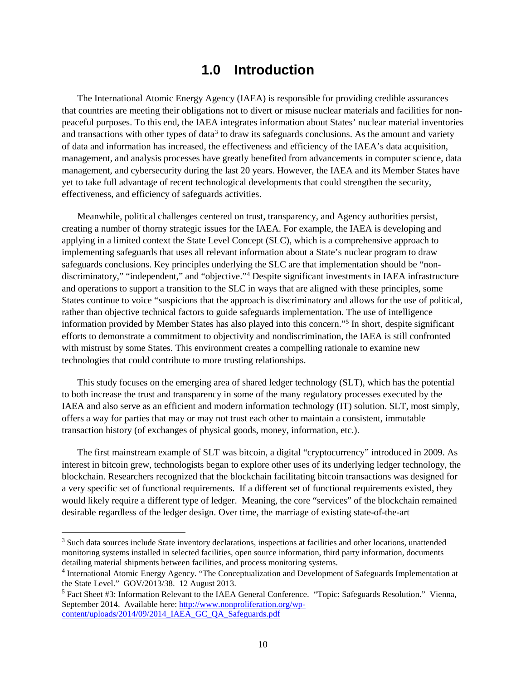#### **1.0 Introduction**

The International Atomic Energy Agency (IAEA) is responsible for providing credible assurances that countries are meeting their obligations not to divert or misuse nuclear materials and facilities for nonpeaceful purposes. To this end, the IAEA integrates information about States' nuclear material inventories and transactions with other types of data<sup>[3](#page-12-0)</sup> to draw its safeguards conclusions. As the amount and variety of data and information has increased, the effectiveness and efficiency of the IAEA's data acquisition, management, and analysis processes have greatly benefited from advancements in computer science, data management, and cybersecurity during the last 20 years. However, the IAEA and its Member States have yet to take full advantage of recent technological developments that could strengthen the security, effectiveness, and efficiency of safeguards activities.

Meanwhile, political challenges centered on trust, transparency, and Agency authorities persist, creating a number of thorny strategic issues for the IAEA. For example, the IAEA is developing and applying in a limited context the State Level Concept (SLC), which is a comprehensive approach to implementing safeguards that uses all relevant information about a State's nuclear program to draw safeguards conclusions. Key principles underlying the SLC are that implementation should be "non-discriminatory," "independent," and "objective."<sup>[4](#page-12-1)</sup> Despite significant investments in IAEA infrastructure and operations to support a transition to the SLC in ways that are aligned with these principles, some States continue to voice "suspicions that the approach is discriminatory and allows for the use of political, rather than objective technical factors to guide safeguards implementation. The use of intelligence information provided by Member States has also played into this concern."[5](#page-12-2) In short, despite significant efforts to demonstrate a commitment to objectivity and nondiscrimination, the IAEA is still confronted with mistrust by some States. This environment creates a compelling rationale to examine new technologies that could contribute to more trusting relationships.

This study focuses on the emerging area of shared ledger technology (SLT), which has the potential to both increase the trust and transparency in some of the many regulatory processes executed by the IAEA and also serve as an efficient and modern information technology (IT) solution. SLT, most simply, offers a way for parties that may or may not trust each other to maintain a consistent, immutable transaction history (of exchanges of physical goods, money, information, etc.).

The first mainstream example of SLT was bitcoin, a digital "cryptocurrency" introduced in 2009. As interest in bitcoin grew, technologists began to explore other uses of its underlying ledger technology, the blockchain. Researchers recognized that the blockchain facilitating bitcoin transactions was designed for a very specific set of functional requirements. If a different set of functional requirements existed, they would likely require a different type of ledger. Meaning, the core "services" of the blockchain remained desirable regardless of the ledger design. Over time, the marriage of existing state-of-the-art

<span id="page-12-0"></span><sup>&</sup>lt;sup>3</sup> Such data sources include State inventory declarations, inspections at facilities and other locations, unattended monitoring systems installed in selected facilities, open source information, third party information, documents detailing material shipments between facilities, and process monitoring systems.

<span id="page-12-1"></span><sup>4</sup> International Atomic Energy Agency. "The Conceptualization and Development of Safeguards Implementation at the State Level." GOV/2013/38. 12 August 2013.

<span id="page-12-2"></span><sup>5</sup> Fact Sheet #3: Information Relevant to the IAEA General Conference. "Topic: Safeguards Resolution." Vienna, September 2014. Available here[: http://www.nonproliferation.org/wp](http://www.nonproliferation.org/wp-content/uploads/2014/09/2014_IAEA_GC_QA_Safeguards.pdf)[content/uploads/2014/09/2014\\_IAEA\\_GC\\_QA\\_Safeguards.pdf](http://www.nonproliferation.org/wp-content/uploads/2014/09/2014_IAEA_GC_QA_Safeguards.pdf)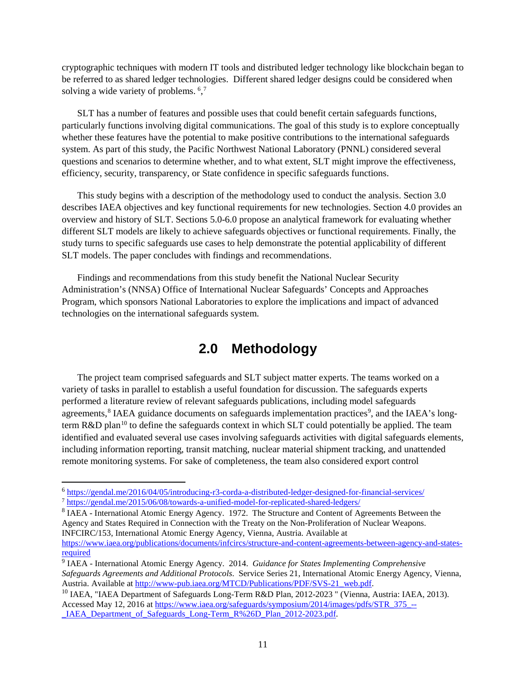cryptographic techniques with modern IT tools and distributed ledger technology like blockchain began to be referred to as shared ledger technologies. Different shared ledger designs could be considered when solving a wide variety of problems. <sup>[6](#page-13-1),[7](#page-13-2)</sup>

SLT has a number of features and possible uses that could benefit certain safeguards functions, particularly functions involving digital communications. The goal of this study is to explore conceptually whether these features have the potential to make positive contributions to the international safeguards system. As part of this study, the Pacific Northwest National Laboratory (PNNL) considered several questions and scenarios to determine whether, and to what extent, SLT might improve the effectiveness, efficiency, security, transparency, or State confidence in specific safeguards functions.

This study begins with a description of the methodology used to conduct the analysis. Section [3.0](#page-14-0) describes IAEA objectives and key functional requirements for new technologies. Section [4.0](#page-15-0) provides an overview and history of SLT. Sections [5.0-](#page-19-0)[6.0](#page-21-0) propose an analytical framework for evaluating whether different SLT models are likely to achieve safeguards objectives or functional requirements. Finally, the study turns to specific safeguards use cases to help demonstrate the potential applicability of different SLT models. The paper concludes with findings and recommendations.

<span id="page-13-0"></span>Findings and recommendations from this study benefit the National Nuclear Security Administration's (NNSA) Office of International Nuclear Safeguards' Concepts and Approaches Program, which sponsors National Laboratories to explore the implications and impact of advanced technologies on the international safeguards system.

## **2.0 Methodology**

The project team comprised safeguards and SLT subject matter experts. The teams worked on a variety of tasks in parallel to establish a useful foundation for discussion. The safeguards experts performed a literature review of relevant safeguards publications, including model safeguards agreements,<sup>[8](#page-13-3)</sup> IAEA guidance documents on safeguards implementation practices<sup>9</sup>, and the IAEA's long-term R&D plan<sup>[10](#page-13-5)</sup> to define the safeguards context in which SLT could potentially be applied. The team identified and evaluated several use cases involving safeguards activities with digital safeguards elements, including information reporting, transit matching, nuclear material shipment tracking, and unattended remote monitoring systems. For sake of completeness, the team also considered export control

<span id="page-13-1"></span> <sup>6</sup> <https://gendal.me/2016/04/05/introducing-r3-corda-a-distributed-ledger-designed-for-financial-services/>

<span id="page-13-2"></span><sup>7</sup> <https://gendal.me/2015/06/08/towards-a-unified-model-for-replicated-shared-ledgers/>

<span id="page-13-3"></span><sup>8</sup> IAEA - International Atomic Energy Agency. 1972. The Structure and Content of Agreements Between the Agency and States Required in Connection with the Treaty on the Non-Proliferation of Nuclear Weapons. INFCIRC/153, International Atomic Energy Agency, Vienna, Austria. Available at [https://www.iaea.org/publications/documents/infcircs/structure-and-content-agreements-between-agency-and-states](https://www.iaea.org/publications/documents/infcircs/structure-and-content-agreements-between-agency-and-states-required)[required](https://www.iaea.org/publications/documents/infcircs/structure-and-content-agreements-between-agency-and-states-required)

<span id="page-13-4"></span><sup>9</sup> IAEA - International Atomic Energy Agency. 2014. *Guidance for States Implementing Comprehensive Safeguards Agreements and Additional Protocols*. Service Series 21, International Atomic Energy Agency, Vienna, Austria. Available at [http://www-pub.iaea.org/MTCD/Publications/PDF/SVS-21\\_web.pdf.](http://www-pub.iaea.org/MTCD/Publications/PDF/SVS-21_web.pdf)

<span id="page-13-5"></span><sup>&</sup>lt;sup>10</sup> IAEA, "IAEA Department of Safeguards Long-Term R&D Plan, 2012-2023 " (Vienna, Austria: IAEA, 2013). Accessed May 12, 2016 at [https://www.iaea.org/safeguards/symposium/2014/images/pdfs/STR\\_375\\_--](https://www.iaea.org/safeguards/symposium/2014/images/pdfs/STR_375_--_IAEA_Department_of_Safeguards_Long-Term_R%26D_Plan_2012-2023.pdf) [\\_IAEA\\_Department\\_of\\_Safeguards\\_Long-Term\\_R%26D\\_Plan\\_2012-2023.pdf.](https://www.iaea.org/safeguards/symposium/2014/images/pdfs/STR_375_--_IAEA_Department_of_Safeguards_Long-Term_R%26D_Plan_2012-2023.pdf)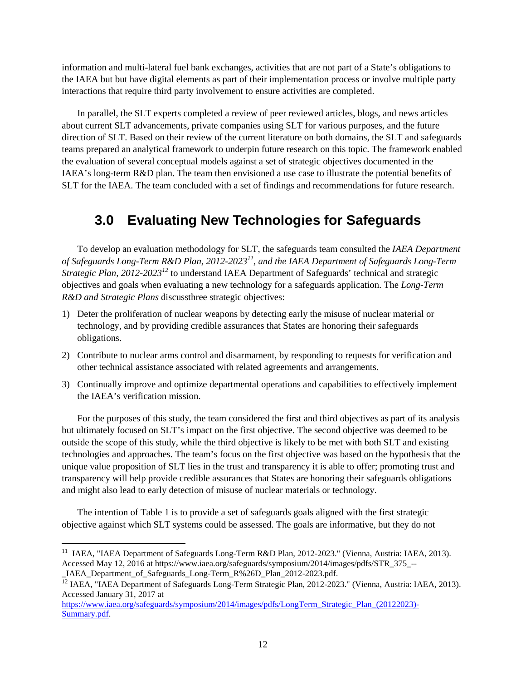information and multi-lateral fuel bank exchanges, activities that are not part of a State's obligations to the IAEA but but have digital elements as part of their implementation process or involve multiple party interactions that require third party involvement to ensure activities are completed.

In parallel, the SLT experts completed a review of peer reviewed articles, blogs, and news articles about current SLT advancements, private companies using SLT for various purposes, and the future direction of SLT. Based on their review of the current literature on both domains, the SLT and safeguards teams prepared an analytical framework to underpin future research on this topic. The framework enabled the evaluation of several conceptual models against a set of strategic objectives documented in the IAEA's long-term R&D plan. The team then envisioned a use case to illustrate the potential benefits of SLT for the IAEA. The team concluded with a set of findings and recommendations for future research.

## <span id="page-14-0"></span>**3.0 Evaluating New Technologies for Safeguards**

To develop an evaluation methodology for SLT, the safeguards team consulted the *IAEA Department of Safeguards Long-Term R&D Plan, 2012-2023[11](#page-14-1), and the IAEA Department of Safeguards Long-Term Strategic Plan, 2012-2023[12](#page-14-2)* to understand IAEA Department of Safeguards' technical and strategic objectives and goals when evaluating a new technology for a safeguards application. The *Long-Term R&D and Strategic Plans* discussthree strategic objectives:

- 1) Deter the proliferation of nuclear weapons by detecting early the misuse of nuclear material or technology, and by providing credible assurances that States are honoring their safeguards obligations.
- 2) Contribute to nuclear arms control and disarmament, by responding to requests for verification and other technical assistance associated with related agreements and arrangements.
- 3) Continually improve and optimize departmental operations and capabilities to effectively implement the IAEA's verification mission.

For the purposes of this study, the team considered the first and third objectives as part of its analysis but ultimately focused on SLT's impact on the first objective. The second objective was deemed to be outside the scope of this study, while the third objective is likely to be met with both SLT and existing technologies and approaches. The team's focus on the first objective was based on the hypothesis that the unique value proposition of SLT lies in the trust and transparency it is able to offer; promoting trust and transparency will help provide credible assurances that States are honoring their safeguards obligations and might also lead to early detection of misuse of nuclear materials or technology.

The intention o[f Table 1](#page-15-1) is to provide a set of safeguards goals aligned with the first strategic objective against which SLT systems could be assessed. The goals are informative, but they do not

<span id="page-14-1"></span><sup>&</sup>lt;sup>11</sup> IAEA, "IAEA Department of Safeguards Long-Term R&D Plan, 2012-2023." (Vienna, Austria: IAEA, 2013). Accessed May 12, 2016 at https://www.iaea.org/safeguards/symposium/2014/images/pdfs/STR\_375\_--

IAEA Department of Safeguards Long-Term R%26D Plan 2012-2023.pdf.

<span id="page-14-2"></span><sup>&</sup>lt;sup>12</sup> IAEA, "IAEA Department of Safeguards Long-Term Strategic Plan, 2012-2023." (Vienna, Austria: IAEA, 2013). Accessed January 31, 2017 at

[https://www.iaea.org/safeguards/symposium/2014/images/pdfs/LongTerm\\_Strategic\\_Plan\\_\(20122023\)-](https://www.iaea.org/safeguards/symposium/2014/images/pdfs/LongTerm_Strategic_Plan_(20122023)-Summary.pdf) [Summary.pdf.](https://www.iaea.org/safeguards/symposium/2014/images/pdfs/LongTerm_Strategic_Plan_(20122023)-Summary.pdf)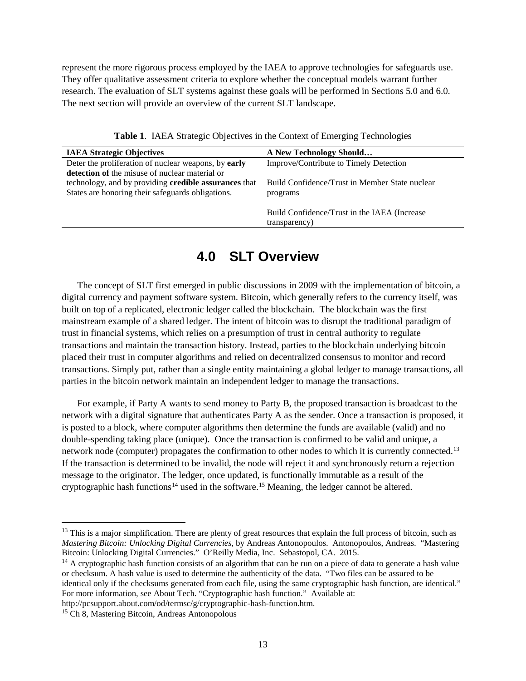represent the more rigorous process employed by the IAEA to approve technologies for safeguards use. They offer qualitative assessment criteria to explore whether the conceptual models warrant further research. The evaluation of SLT systems against these goals will be performed in Sections [5.0](#page-19-0) and [6.0.](#page-21-0) The next section will provide an overview of the current SLT landscape.

**Table 1**. IAEA Strategic Objectives in the Context of Emerging Technologies

<span id="page-15-1"></span>

| <b>IAEA Strategic Objectives</b>                      | A New Technology Should                        |
|-------------------------------------------------------|------------------------------------------------|
| Deter the proliferation of nuclear weapons, by early  | Improve/Contribute to Timely Detection         |
| detection of the misuse of nuclear material or        |                                                |
| technology, and by providing credible assurances that | Build Confidence/Trust in Member State nuclear |
| States are honoring their safeguards obligations.     | programs                                       |
|                                                       |                                                |
|                                                       | Build Confidence/Trust in the IAEA (Increase)  |
|                                                       | transparency)                                  |

## **4.0 SLT Overview**

<span id="page-15-0"></span>The concept of SLT first emerged in public discussions in 2009 with the implementation of bitcoin, a digital currency and payment software system. Bitcoin, which generally refers to the currency itself, was built on top of a replicated, electronic ledger called the blockchain. The blockchain was the first mainstream example of a shared ledger. The intent of bitcoin was to disrupt the traditional paradigm of trust in financial systems, which relies on a presumption of trust in central authority to regulate transactions and maintain the transaction history. Instead, parties to the blockchain underlying bitcoin placed their trust in computer algorithms and relied on decentralized consensus to monitor and record transactions. Simply put, rather than a single entity maintaining a global ledger to manage transactions, all parties in the bitcoin network maintain an independent ledger to manage the transactions.

For example, if Party A wants to send money to Party B, the proposed transaction is broadcast to the network with a digital signature that authenticates Party A as the sender. Once a transaction is proposed, it is posted to a block, where computer algorithms then determine the funds are available (valid) and no double-spending taking place (unique). Once the transaction is confirmed to be valid and unique, a network node (computer) propagates the confirmation to other nodes to which it is currently connected.<sup>[13](#page-15-2)</sup> If the transaction is determined to be invalid, the node will reject it and synchronously return a rejection message to the originator. The ledger, once updated, is functionally immutable as a result of the cryptographic hash functions<sup>[14](#page-15-3)</sup> used in the software.<sup>[15](#page-15-4)</sup> Meaning, the ledger cannot be altered.

<span id="page-15-2"></span><sup>&</sup>lt;sup>13</sup> This is a major simplification. There are plenty of great resources that explain the full process of bitcoin, such as *Mastering Bitcoin: Unlocking Digital Currencies*, by Andreas Antonopoulos. Antonopoulos, Andreas. "Mastering Bitcoin: Unlocking Digital Currencies." O'Reilly Media, Inc. Sebastopol, CA. 2015.

<span id="page-15-3"></span> $14$  A [cryptographic](https://simple.wikipedia.org/wiki/Cryptography) hash function consists of an algorithm that can be run on a piece of data to generate a hash value or checksum. A hash value is used to determine the authenticity of the data. "Two files can be assured to be identical only if the checksums generated from each file, using the same cryptographic hash function, are identical." For more information, see About Tech. "Cryptographic hash function." Available at:

http://pcsupport.about.com/od/termsc/g/cryptographic-hash-function.htm.

<span id="page-15-4"></span><sup>&</sup>lt;sup>15</sup> Ch 8, Mastering Bitcoin, Andreas Antonopolous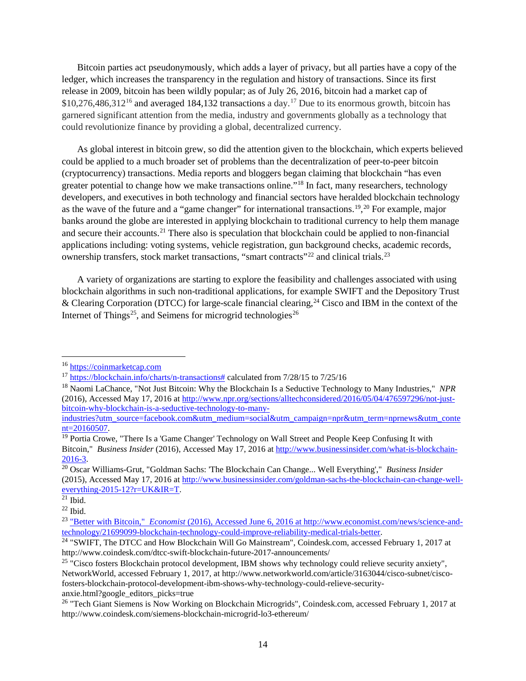Bitcoin parties act pseudonymously, which adds a layer of privacy, but all parties have a copy of the ledger, which increases the transparency in the regulation and history of transactions. Since its first release in 2009, bitcoin has been wildly popular; as of July 26, 2016, bitcoin had a market cap of  $$10,276,486,312^{16}$  $$10,276,486,312^{16}$  $$10,276,486,312^{16}$  and averaged 184,132 transactions a day.<sup>[17](#page-16-1)</sup> Due to its enormous growth, bitcoin has garnered significant attention from the media, industry and governments globally as a technology that could revolutionize finance by providing a global, decentralized currency.

As global interest in bitcoin grew, so did the attention given to the blockchain, which experts believed could be applied to a much broader set of problems than the decentralization of peer-to-peer bitcoin (cryptocurrency) transactions. Media reports and bloggers began claiming that blockchain "has even greater potential to change how we make transactions online."[18](#page-16-2) In fact, many researchers, technology developers, and executives in both technology and financial sectors have heralded blockchain technology as the wave of the future and a "game changer" for international transactions.<sup>[19](#page-16-3)</sup>,<sup>[20](#page-16-4)</sup> For example, major banks around the globe are interested in applying blockchain to traditional currency to help them manage and secure their accounts.[21](#page-16-5) There also is speculation that blockchain could be applied to non-financial applications including: voting systems, vehicle registration, gun background checks, academic records, ownership transfers, stock market transactions, "smart contracts"<sup>[22](#page-16-6)</sup> and clinical trials.<sup>[23](#page-16-7)</sup>

A variety of organizations are starting to explore the feasibility and challenges associated with using blockchain algorithms in such non-traditional applications, for example SWIFT and the Depository Trust & Clearing Corporation (DTCC) for large-scale financial clearing,<sup>[24](#page-16-8)</sup> Cisco and IBM in the context of the Internet of Things<sup>25</sup>, and Seimens for microgrid technologies<sup>[26](#page-16-10)</sup>

<span id="page-16-0"></span> <sup>16</sup> [https://coinmarketcap.com](https://coinmarketcap.com/)

<span id="page-16-1"></span><sup>&</sup>lt;sup>17</sup> [https://blockchain.info/charts/n-transactions#](https://blockchain.info/charts/n-transactions) calculated from 7/28/15 to 7/25/16

<span id="page-16-2"></span><sup>18</sup> Naomi LaChance, "Not Just Bitcoin: Why the Blockchain Is a Seductive Technology to Many Industries," *NPR* (2016), Accessed May 17, 2016 at [http://www.npr.org/sections/alltechconsidered/2016/05/04/476597296/not-just](http://www.npr.org/sections/alltechconsidered/2016/05/04/476597296/not-just-bitcoin-why-blockchain-is-a-seductive-technology-to-many-industries?utm_source=facebook.com&utm_medium=social&utm_campaign=npr&utm_term=nprnews&utm_content=20160507)[bitcoin-why-blockchain-is-a-seductive-technology-to-many-](http://www.npr.org/sections/alltechconsidered/2016/05/04/476597296/not-just-bitcoin-why-blockchain-is-a-seductive-technology-to-many-industries?utm_source=facebook.com&utm_medium=social&utm_campaign=npr&utm_term=nprnews&utm_content=20160507)

[industries?utm\\_source=facebook.com&utm\\_medium=social&utm\\_campaign=npr&utm\\_term=nprnews&utm\\_conte](http://www.npr.org/sections/alltechconsidered/2016/05/04/476597296/not-just-bitcoin-why-blockchain-is-a-seductive-technology-to-many-industries?utm_source=facebook.com&utm_medium=social&utm_campaign=npr&utm_term=nprnews&utm_content=20160507) [nt=20160507.](http://www.npr.org/sections/alltechconsidered/2016/05/04/476597296/not-just-bitcoin-why-blockchain-is-a-seductive-technology-to-many-industries?utm_source=facebook.com&utm_medium=social&utm_campaign=npr&utm_term=nprnews&utm_content=20160507)

<span id="page-16-3"></span><sup>&</sup>lt;sup>19</sup> Portia Crowe, "There Is a 'Game Changer' Technology on Wall Street and People Keep Confusing It with Bitcoin," *Business Insider* (2016), Accessed May 17, 2016 at [http://www.businessinsider.com/what-is-blockchain-](http://www.businessinsider.com/what-is-blockchain-2016-3)[2016-3.](http://www.businessinsider.com/what-is-blockchain-2016-3)

<span id="page-16-4"></span><sup>20</sup> Oscar Williams-Grut, "Goldman Sachs: 'The Blockchain Can Change... Well Everything'," *Business Insider* (2015), Accessed May 17, 2016 at [http://www.businessinsider.com/goldman-sachs-the-blockchain-can-change-well](http://www.businessinsider.com/goldman-sachs-the-blockchain-can-change-well-everything-2015-12?r=UK&IR=T)[everything-2015-12?r=UK&IR=T.](http://www.businessinsider.com/goldman-sachs-the-blockchain-can-change-well-everything-2015-12?r=UK&IR=T)

<span id="page-16-5"></span> $21$  Ibid.

<span id="page-16-6"></span> $22$  Ibid.

<span id="page-16-7"></span><sup>23</sup> "Better with Bitcoin," *Economist* [\(2016\), Accessed June 6, 2016 at http://www.economist.com/news/science-and](file:///C:%5CUsers%5CD3m381%5CAppData%5CLocal%5CMicrosoft%5CWindows%5CTemporary%20Internet%20Files%5CContent.Outlook%5CBWUSK7X8%5C%22Better%20with%20Bitcoin,%22%20%20%20Economist%20(2016),%20Accessed%20June%206,%202016%20at%20http:%5Cwww.economist.com%5Cnews%5Cscience-and-technology%5C21699099-blockchain-technology-could-improve-reliability-medical-trials-better)[technology/21699099-blockchain-technology-could-improve-reliability-medical-trials-better.](file:///C:%5CUsers%5CD3m381%5CAppData%5CLocal%5CMicrosoft%5CWindows%5CTemporary%20Internet%20Files%5CContent.Outlook%5CBWUSK7X8%5C%22Better%20with%20Bitcoin,%22%20%20%20Economist%20(2016),%20Accessed%20June%206,%202016%20at%20http:%5Cwww.economist.com%5Cnews%5Cscience-and-technology%5C21699099-blockchain-technology-could-improve-reliability-medical-trials-better)

<span id="page-16-8"></span><sup>&</sup>lt;sup>24</sup> "SWIFT, The DTCC and How Blockchain Will Go Mainstream", Coindesk.com, accessed February 1, 2017 at http://www.coindesk.com/dtcc-swift-blockchain-future-2017-announcements/

<span id="page-16-9"></span><sup>&</sup>lt;sup>25</sup> "Cisco fosters Blockchain protocol development, IBM shows why technology could relieve security anxiety", NetworkWorld, accessed February 1, 2017, at http://www.networkworld.com/article/3163044/cisco-subnet/ciscofosters-blockchain-protocol-development-ibm-shows-why-technology-could-relieve-securityanxie.html?google\_editors\_picks=true

<span id="page-16-10"></span><sup>&</sup>lt;sup>26</sup> "Tech Giant Siemens is Now Working on Blockchain Microgrids", Coindesk.com, accessed February 1, 2017 at http://www.coindesk.com/siemens-blockchain-microgrid-lo3-ethereum/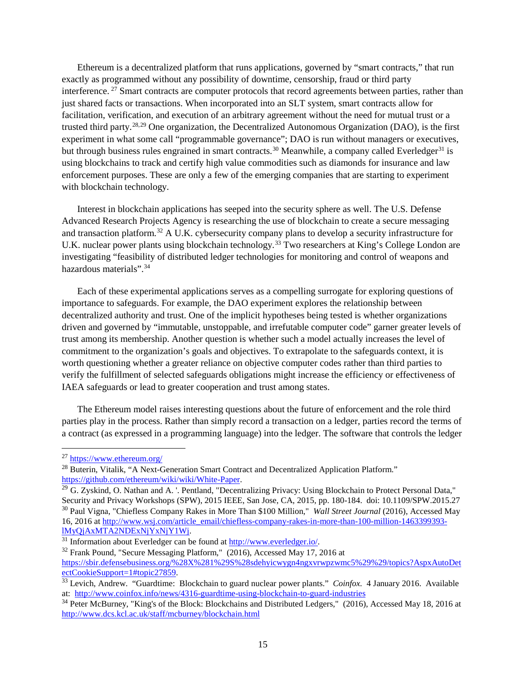Ethereum is a decentralized platform that runs applications, governed by "smart contracts," that run exactly as programmed without any possibility of downtime, censorship, fraud or third party interference. [27](#page-17-0) Smart contracts are computer protocols that record agreements between parties, rather than just shared facts or transactions. When incorporated into an SLT system, smart contracts allow for facilitation, verification, and execution of an arbitrary agreement without the need for mutual trust or a trusted third party.[28](#page-17-1),[29](#page-17-2) One organization, the Decentralized Autonomous Organization (DAO), is the first experiment in what some call "programmable governance"; DAO is run without managers or executives, but through business rules engrained in smart contracts.<sup>[30](#page-17-3)</sup> Meanwhile, a company called Everledger<sup>[31](#page-17-4)</sup> is using blockchains to track and certify high value commodities such as diamonds for insurance and law enforcement purposes. These are only a few of the emerging companies that are starting to experiment with blockchain technology.

Interest in blockchain applications has seeped into the security sphere as well. The U.S. Defense Advanced Research Projects Agency is researching the use of blockchain to create a secure messaging and transaction platform.[32](#page-17-5) A U.K. cybersecurity company plans to develop a security infrastructure for U.K. nuclear power plants using blockchain technology.<sup>[33](#page-17-6)</sup> Two researchers at King's College London are investigating "feasibility of distributed ledger technologies for monitoring and control of weapons and hazardous materials".<sup>[34](#page-17-7)</sup>

Each of these experimental applications serves as a compelling surrogate for exploring questions of importance to safeguards. For example, the DAO experiment explores the relationship between decentralized authority and trust. One of the implicit hypotheses being tested is whether organizations driven and governed by "immutable, unstoppable, and irrefutable computer code" garner greater levels of trust among its membership. Another question is whether such a model actually increases the level of commitment to the organization's goals and objectives. To extrapolate to the safeguards context, it is worth questioning whether a greater reliance on objective computer codes rather than third parties to verify the fulfillment of selected safeguards obligations might increase the efficiency or effectiveness of IAEA safeguards or lead to greater cooperation and trust among states.

The Ethereum model raises interesting questions about the future of enforcement and the role third parties play in the process. Rather than simply record a transaction on a ledger, parties record the terms of a contract (as expressed in a programming language) into the ledger. The software that controls the ledger

<span id="page-17-0"></span> <sup>27</sup> <https://www.ethereum.org/>

<span id="page-17-1"></span><sup>&</sup>lt;sup>28</sup> Buterin, Vitalik, "A Next-Generation Smart Contract and Decentralized Application Platform." [https://github.com/ethereum/wiki/wiki/White-Paper.](https://github.com/ethereum/wiki/wiki/White-Paper)

<span id="page-17-3"></span><span id="page-17-2"></span> $^{29}$  G. Zyskind, O. Nathan and A. '. Pentland, "Decentralizing Privacy: Using Blockchain to Protect Personal Data," Security and Privacy Workshops (SPW), 2015 IEEE, San Jose, CA, 2015, pp. 180-184. doi: 10.1109/SPW.2015.27 <sup>30</sup> Paul Vigna, "Chiefless Company Rakes in More Than \$100 Million," *Wall Street Journal* (2016), Accessed May 16, 2016 at [http://www.wsj.com/article\\_email/chiefless-company-rakes-in-more-than-100-million-1463399393](http://www.wsj.com/article_email/chiefless-company-rakes-in-more-than-100-million-1463399393-lMyQjAxMTA2NDExNjYxNjY1Wj) [lMyQjAxMTA2NDExNjYxNjY1Wj.](http://www.wsj.com/article_email/chiefless-company-rakes-in-more-than-100-million-1463399393-lMyQjAxMTA2NDExNjYxNjY1Wj)

<span id="page-17-4"></span><sup>31</sup> Information about Everledger can be found a[t http://www.everledger.io/.](http://www.everledger.io/)

<span id="page-17-5"></span><sup>&</sup>lt;sup>32</sup> Frank Pound, "Secure Messaging Platform," (2016), Accessed May 17, 2016 at [https://sbir.defensebusiness.org/%28X%281%29S%28sdehyicwygn4ngxvrwpzwmc5%29%29/topics?AspxAutoDet](https://sbir.defensebusiness.org/%28X%281%29S%28sdehyicwygn4ngxvrwpzwmc5%29%29/topics?AspxAutoDetectCookieSupport=1%23topic27859) [ectCookieSupport=1#topic27859.](https://sbir.defensebusiness.org/%28X%281%29S%28sdehyicwygn4ngxvrwpzwmc5%29%29/topics?AspxAutoDetectCookieSupport=1%23topic27859)

<span id="page-17-6"></span><sup>33</sup> Levich, Andrew. "Guardtime: Blockchain to guard nuclear power plants." *Coinfox.* 4 January 2016. Available at: <http://www.coinfox.info/news/4316-guardtime-using-blockchain-to-guard-industries>

<span id="page-17-7"></span><sup>&</sup>lt;sup>34</sup> Peter McBurney, "King's of the Block: Blockchains and Distributed Ledgers," (2016), Accessed May 18, 2016 at <http://www.dcs.kcl.ac.uk/staff/mcburney/blockchain.html>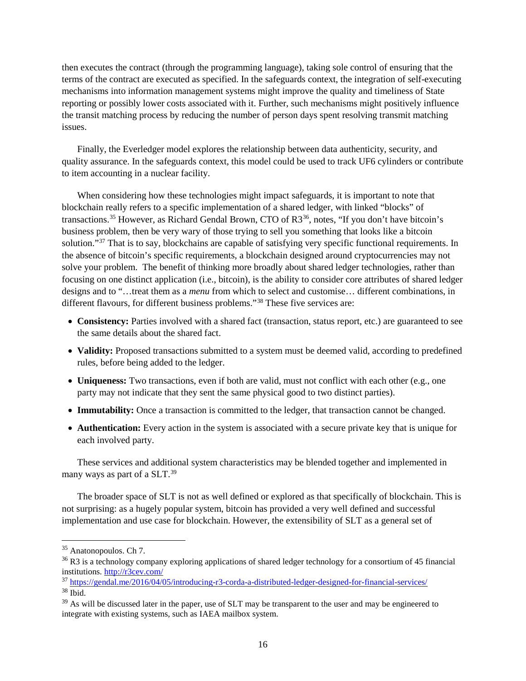then executes the contract (through the programming language), taking sole control of ensuring that the terms of the contract are executed as specified. In the safeguards context, the integration of self-executing mechanisms into information management systems might improve the quality and timeliness of State reporting or possibly lower costs associated with it. Further, such mechanisms might positively influence the transit matching process by reducing the number of person days spent resolving transmit matching issues.

Finally, the Everledger model explores the relationship between data authenticity, security, and quality assurance. In the safeguards context, this model could be used to track UF6 cylinders or contribute to item accounting in a nuclear facility.

When considering how these technologies might impact safeguards, it is important to note that blockchain really refers to a specific implementation of a shared ledger, with linked "blocks" of transactions.<sup>[35](#page-18-0)</sup> However, as Richard Gendal Brown, CTO of R3<sup>36</sup>, notes, "If you don't have bitcoin's business problem, then be very wary of those trying to sell you something that looks like a bitcoin solution."<sup>[37](#page-18-2)</sup> That is to say, blockchains are capable of satisfying very specific functional requirements. In the absence of bitcoin's specific requirements, a blockchain designed around cryptocurrencies may not solve your problem. The benefit of thinking more broadly about shared ledger technologies, rather than focusing on one distinct application (i.e., bitcoin), is the ability to consider core attributes of shared ledger designs and to "…treat them as a *menu* from which to select and customise… different combinations, in different flavours, for different business problems."[38](#page-18-3) These five services are:

- **Consistency:** Parties involved with a shared fact (transaction, status report, etc.) are guaranteed to see the same details about the shared fact.
- **Validity:** Proposed transactions submitted to a system must be deemed valid, according to predefined rules, before being added to the ledger.
- **Uniqueness:** Two transactions, even if both are valid, must not conflict with each other (e.g., one party may not indicate that they sent the same physical good to two distinct parties).
- **Immutability:** Once a transaction is committed to the ledger, that transaction cannot be changed.
- **Authentication:** Every action in the system is associated with a secure private key that is unique for each involved party.

These services and additional system characteristics may be blended together and implemented in many ways as part of a SLT.<sup>[39](#page-18-4)</sup>

The broader space of SLT is not as well defined or explored as that specifically of blockchain. This is not surprising: as a hugely popular system, bitcoin has provided a very well defined and successful implementation and use case for blockchain. However, the extensibility of SLT as a general set of

<span id="page-18-0"></span> <sup>35</sup> Anatonopoulos. Ch 7.

<span id="page-18-1"></span><sup>&</sup>lt;sup>36</sup> R3 is a technology company exploring applications of shared ledger technology for a consortium of 45 financial institutions.<http://r3cev.com/>

<span id="page-18-2"></span><sup>37</sup> <https://gendal.me/2016/04/05/introducing-r3-corda-a-distributed-ledger-designed-for-financial-services/> <sup>38</sup> Ibid.

<span id="page-18-4"></span><span id="page-18-3"></span><sup>&</sup>lt;sup>39</sup> As will be discussed later in the paper, use of SLT may be transparent to the user and may be engineered to integrate with existing systems, such as IAEA mailbox system.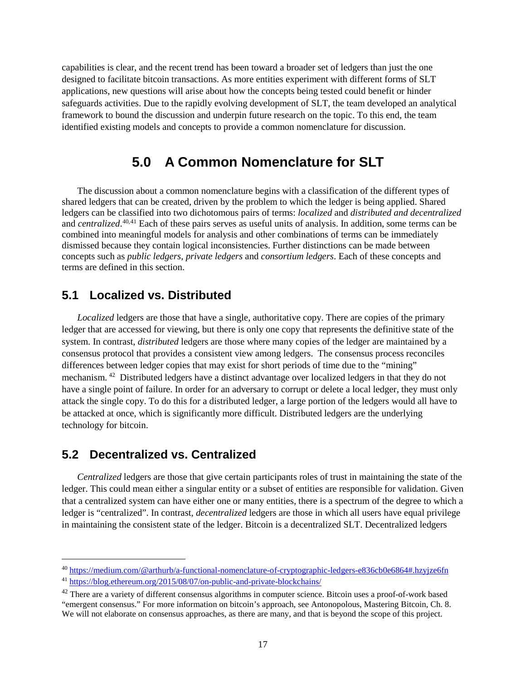capabilities is clear, and the recent trend has been toward a broader set of ledgers than just the one designed to facilitate bitcoin transactions. As more entities experiment with different forms of SLT applications, new questions will arise about how the concepts being tested could benefit or hinder safeguards activities. Due to the rapidly evolving development of SLT, the team developed an analytical framework to bound the discussion and underpin future research on the topic. To this end, the team identified existing models and concepts to provide a common nomenclature for discussion.

### **5.0 A Common Nomenclature for SLT**

<span id="page-19-0"></span>The discussion about a common nomenclature begins with a classification of the different types of shared ledgers that can be created, driven by the problem to which the ledger is being applied. Shared ledgers can be classified into two dichotomous pairs of terms: *localized* and *distributed and decentralized* and *centralized*. [40,](#page-19-3)[41](#page-19-4) Each of these pairs serves as useful units of analysis. In addition, some terms can be combined into meaningful models for analysis and other combinations of terms can be immediately dismissed because they contain logical inconsistencies. Further distinctions can be made between concepts such as *public ledgers, private ledgers* and *consortium ledgers*. Each of these concepts and terms are defined in this section.

#### <span id="page-19-1"></span>**5.1 Localized vs. Distributed**

*Localized* ledgers are those that have a single, authoritative copy. There are copies of the primary ledger that are accessed for viewing, but there is only one copy that represents the definitive state of the system. In contrast, *distributed* ledgers are those where many copies of the ledger are maintained by a consensus protocol that provides a consistent view among ledgers. The consensus process reconciles differences between ledger copies that may exist for short periods of time due to the "mining" mechanism. [42](#page-19-5) Distributed ledgers have a distinct advantage over localized ledgers in that they do not have a single point of failure. In order for an adversary to corrupt or delete a local ledger, they must only attack the single copy. To do this for a distributed ledger, a large portion of the ledgers would all have to be attacked at once, which is significantly more difficult. Distributed ledgers are the underlying technology for bitcoin.

#### <span id="page-19-2"></span>**5.2 Decentralized vs. Centralized**

*Centralized* ledgers are those that give certain participants roles of trust in maintaining the state of the ledger. This could mean either a singular entity or a subset of entities are responsible for validation. Given that a centralized system can have either one or many entities, there is a spectrum of the degree to which a ledger is "centralized". In contrast*, decentralized* ledgers are those in which all users have equal privilege in maintaining the consistent state of the ledger. Bitcoin is a decentralized SLT. Decentralized ledgers

<span id="page-19-3"></span> <sup>40</sup> <https://medium.com/@arthurb/a-functional-nomenclature-of-cryptographic-ledgers-e836cb0e6864#.hzyjze6fn>

<span id="page-19-4"></span><sup>41</sup> <https://blog.ethereum.org/2015/08/07/on-public-and-private-blockchains/>

<span id="page-19-5"></span> $42$  There are a variety of different consensus algorithms in computer science. Bitcoin uses a proof-of-work based "emergent consensus." For more information on bitcoin's approach, see Antonopolous, Mastering Bitcoin, Ch. 8.

We will not elaborate on consensus approaches, as there are many, and that is beyond the scope of this project.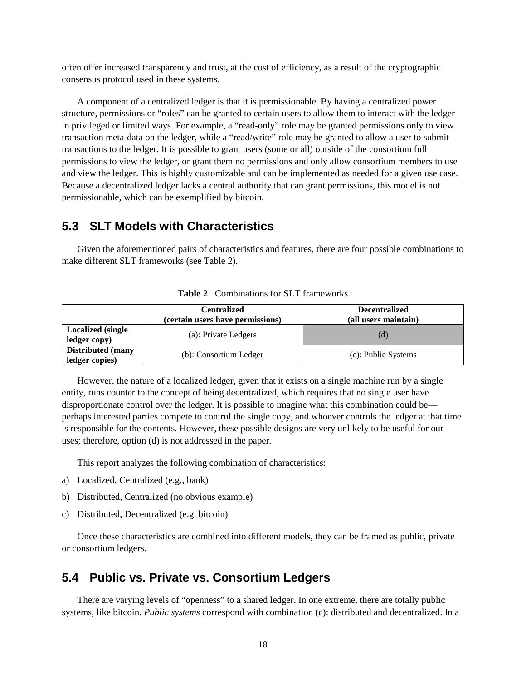often offer increased transparency and trust, at the cost of efficiency, as a result of the cryptographic consensus protocol used in these systems.

A component of a centralized ledger is that it is permissionable. By having a centralized power structure, permissions or "roles" can be granted to certain users to allow them to interact with the ledger in privileged or limited ways. For example, a "read-only" role may be granted permissions only to view transaction meta-data on the ledger, while a "read/write" role may be granted to allow a user to submit transactions to the ledger. It is possible to grant users (some or all) outside of the consortium full permissions to view the ledger, or grant them no permissions and only allow consortium members to use and view the ledger. This is highly customizable and can be implemented as needed for a given use case. Because a decentralized ledger lacks a central authority that can grant permissions, this model is not permissionable, which can be exemplified by bitcoin.

#### <span id="page-20-0"></span>**5.3 SLT Models with Characteristics**

<span id="page-20-2"></span>Given the aforementioned pairs of characteristics and features, there are four possible combinations to make different SLT frameworks (see [Table 2\)](#page-20-2).

|                                            | <b>Centralized</b><br>(certain users have permissions) | <b>Decentralized</b><br>(all users maintain) |
|--------------------------------------------|--------------------------------------------------------|----------------------------------------------|
| <b>Localized</b> (single<br>ledger copy)   | (a): Private Ledgers                                   | (d)                                          |
| <b>Distributed</b> (many<br>ledger copies) | (b): Consortium Ledger                                 | (c): Public Systems                          |

**Table 2**. Combinations for SLT frameworks

However, the nature of a localized ledger, given that it exists on a single machine run by a single entity, runs counter to the concept of being decentralized, which requires that no single user have disproportionate control over the ledger. It is possible to imagine what this combination could be perhaps interested parties compete to control the single copy, and whoever controls the ledger at that time is responsible for the contents. However, these possible designs are very unlikely to be useful for our uses; therefore, option (d) is not addressed in the paper.

This report analyzes the following combination of characteristics:

- a) Localized, Centralized (e.g., bank)
- b) Distributed, Centralized (no obvious example)
- c) Distributed, Decentralized (e.g. bitcoin)

Once these characteristics are combined into different models, they can be framed as public, private or consortium ledgers.

#### <span id="page-20-1"></span>**5.4 Public vs. Private vs. Consortium Ledgers**

There are varying levels of "openness" to a shared ledger. In one extreme, there are totally public systems, like bitcoin. *Public systems* correspond with combination (c): distributed and decentralized. In a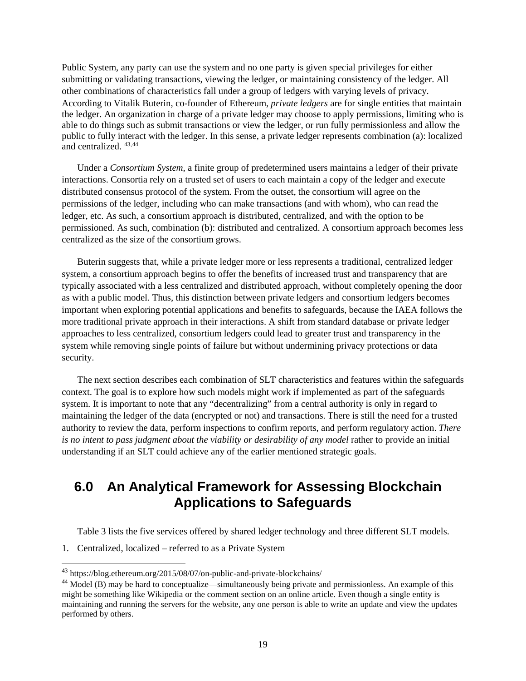Public System, any party can use the system and no one party is given special privileges for either submitting or validating transactions, viewing the ledger, or maintaining consistency of the ledger. All other combinations of characteristics fall under a group of ledgers with varying levels of privacy. According to Vitalik Buterin, co-founder of Ethereum, *private ledgers* are for single entities that maintain the ledger. An organization in charge of a private ledger may choose to apply permissions, limiting who is able to do things such as submit transactions or view the ledger, or run fully permissionless and allow the public to fully interact with the ledger. In this sense, a private ledger represents combination (a): localized and centralized. [43,](#page-21-1)[44](#page-21-2)

Under a *Consortium System*, a finite group of predetermined users maintains a ledger of their private interactions. Consortia rely on a trusted set of users to each maintain a copy of the ledger and execute distributed consensus protocol of the system. From the outset, the consortium will agree on the permissions of the ledger, including who can make transactions (and with whom), who can read the ledger, etc. As such, a consortium approach is distributed, centralized, and with the option to be permissioned. As such, combination (b): distributed and centralized. A consortium approach becomes less centralized as the size of the consortium grows.

Buterin suggests that, while a private ledger more or less represents a traditional, centralized ledger system, a consortium approach begins to offer the benefits of increased trust and transparency that are typically associated with a less centralized and distributed approach, without completely opening the door as with a public model. Thus, this distinction between private ledgers and consortium ledgers becomes important when exploring potential applications and benefits to safeguards, because the IAEA follows the more traditional private approach in their interactions. A shift from standard database or private ledger approaches to less centralized, consortium ledgers could lead to greater trust and transparency in the system while removing single points of failure but without undermining privacy protections or data security.

The next section describes each combination of SLT characteristics and features within the safeguards context. The goal is to explore how such models might work if implemented as part of the safeguards system. It is important to note that any "decentralizing" from a central authority is only in regard to maintaining the ledger of the data (encrypted or not) and transactions. There is still the need for a trusted authority to review the data, perform inspections to confirm reports, and perform regulatory action. *There is no intent to pass judgment about the viability or desirability of any model* rather to provide an initial understanding if an SLT could achieve any of the earlier mentioned strategic goals.

## <span id="page-21-0"></span>**6.0 An Analytical Framework for Assessing Blockchain Applications to Safeguards**

[Table 3](#page-22-1) lists the five services offered by shared ledger technology and three different SLT models.

1. Centralized, localized – referred to as a Private System

<span id="page-21-1"></span> <sup>43</sup> https://blog.ethereum.org/2015/08/07/on-public-and-private-blockchains/

<span id="page-21-2"></span><sup>44</sup> Model (B) may be hard to conceptualize—simultaneously being private and permissionless. An example of this might be something like Wikipedia or the comment section on an online article. Even though a single entity is maintaining and running the servers for the website, any one person is able to write an update and view the updates performed by others.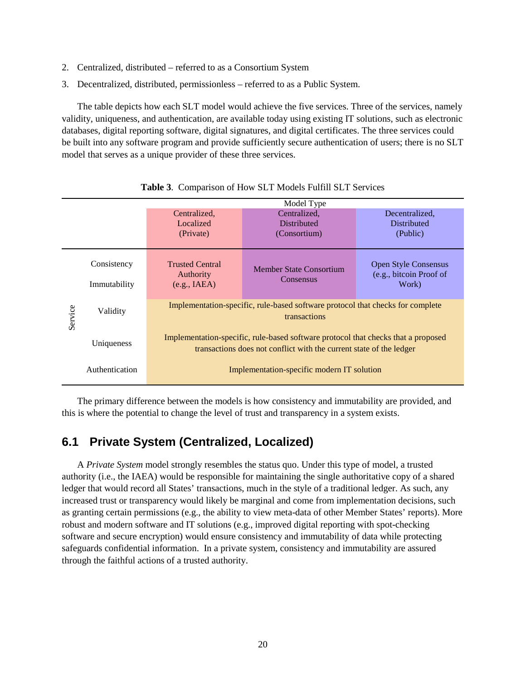- 2. Centralized, distributed referred to as a Consortium System
- 3. Decentralized, distributed, permissionless referred to as a Public System.

The table depicts how each SLT model would achieve the five services. Three of the services, namely validity, uniqueness, and authentication, are available today using existing IT solutions, such as electronic databases, digital reporting software, digital signatures, and digital certificates. The three services could be built into any software program and provide sufficiently secure authentication of users; there is no SLT model that serves as a unique provider of these three services.

<span id="page-22-1"></span>

|         | Model Type     |                                                                                                                                                          |                                |                                                        |  |  |
|---------|----------------|----------------------------------------------------------------------------------------------------------------------------------------------------------|--------------------------------|--------------------------------------------------------|--|--|
|         |                | Centralized,                                                                                                                                             | Centralized,                   | Decentralized.                                         |  |  |
|         |                | Localized                                                                                                                                                | <b>Distributed</b>             | <b>Distributed</b>                                     |  |  |
|         |                | (Private)                                                                                                                                                | (Consortium)                   | (Public)                                               |  |  |
|         | Consistency    | <b>Trusted Central</b><br>Authority                                                                                                                      | <b>Member State Consortium</b> | <b>Open Style Consensus</b><br>(e.g., bitcoin Proof of |  |  |
|         | Immutability   | (e.g., IABA)                                                                                                                                             | <b>Consensus</b>               | Work)                                                  |  |  |
| Service | Validity       | Implementation-specific, rule-based software protocol that checks for complete<br>transactions                                                           |                                |                                                        |  |  |
|         | Uniqueness     | Implementation-specific, rule-based software protocol that checks that a proposed<br>transactions does not conflict with the current state of the ledger |                                |                                                        |  |  |
|         | Authentication | Implementation-specific modern IT solution                                                                                                               |                                |                                                        |  |  |

**Table 3**. Comparison of How SLT Models Fulfill SLT Services

The primary difference between the models is how consistency and immutability are provided, and this is where the potential to change the level of trust and transparency in a system exists.

### <span id="page-22-0"></span>**6.1 Private System (Centralized, Localized)**

A *Private System* model strongly resembles the status quo. Under this type of model, a trusted authority (i.e., the IAEA) would be responsible for maintaining the single authoritative copy of a shared ledger that would record all States' transactions, much in the style of a traditional ledger. As such, any increased trust or transparency would likely be marginal and come from implementation decisions, such as granting certain permissions (e.g., the ability to view meta-data of other Member States' reports). More robust and modern software and IT solutions (e.g., improved digital reporting with spot-checking software and secure encryption) would ensure consistency and immutability of data while protecting safeguards confidential information. In a private system, consistency and immutability are assured through the faithful actions of a trusted authority.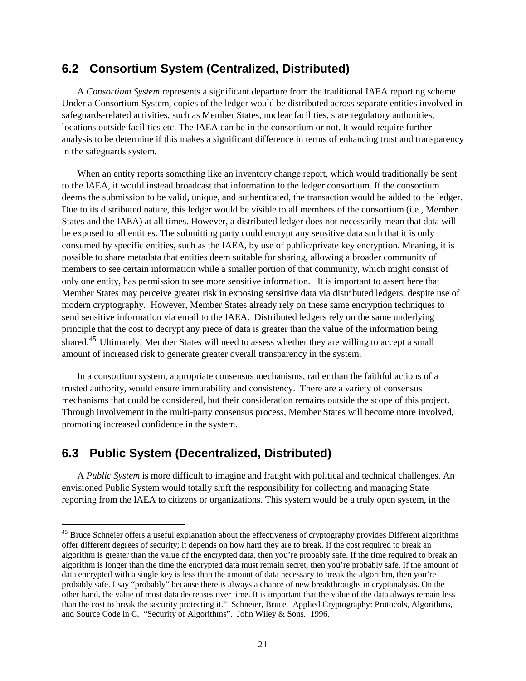#### <span id="page-23-0"></span>**6.2 Consortium System (Centralized, Distributed)**

A *Consortium System* represents a significant departure from the traditional IAEA reporting scheme. Under a Consortium System, copies of the ledger would be distributed across separate entities involved in safeguards-related activities, such as Member States, nuclear facilities, state regulatory authorities, locations outside facilities etc. The IAEA can be in the consortium or not. It would require further analysis to be determine if this makes a significant difference in terms of enhancing trust and transparency in the safeguards system.

When an entity reports something like an inventory change report, which would traditionally be sent to the IAEA, it would instead broadcast that information to the ledger consortium. If the consortium deems the submission to be valid, unique, and authenticated, the transaction would be added to the ledger. Due to its distributed nature, this ledger would be visible to all members of the consortium (i.e., Member States and the IAEA) at all times. However, a distributed ledger does not necessarily mean that data will be exposed to all entities. The submitting party could encrypt any sensitive data such that it is only consumed by specific entities, such as the IAEA, by use of public/private key encryption. Meaning, it is possible to share metadata that entities deem suitable for sharing, allowing a broader community of members to see certain information while a smaller portion of that community, which might consist of only one entity, has permission to see more sensitive information. It is important to assert here that Member States may perceive greater risk in exposing sensitive data via distributed ledgers, despite use of modern cryptography. However, Member States already rely on these same encryption techniques to send sensitive information via email to the IAEA. Distributed ledgers rely on the same underlying principle that the cost to decrypt any piece of data is greater than the value of the information being shared.<sup>[45](#page-23-2)</sup> Ultimately, Member States will need to assess whether they are willing to accept a small amount of increased risk to generate greater overall transparency in the system.

In a consortium system, appropriate consensus mechanisms, rather than the faithful actions of a trusted authority, would ensure immutability and consistency. There are a variety of consensus mechanisms that could be considered, but their consideration remains outside the scope of this project. Through involvement in the multi-party consensus process, Member States will become more involved, promoting increased confidence in the system.

#### <span id="page-23-1"></span>**6.3 Public System (Decentralized, Distributed)**

A *Public System* is more difficult to imagine and fraught with political and technical challenges. An envisioned Public System would totally shift the responsibility for collecting and managing State reporting from the IAEA to citizens or organizations. This system would be a truly open system, in the

<span id="page-23-2"></span><sup>&</sup>lt;sup>45</sup> Bruce Schneier offers a useful explanation about the effectiveness of cryptography provides Different algorithms offer different degrees of security; it depends on how hard they are to break. If the cost required to break an algorithm is greater than the value of the encrypted data, then you're probably safe. If the time required to break an algorithm is longer than the time the encrypted data must remain secret, then you're probably safe. If the amount of data encrypted with a single key is less than the amount of data necessary to break the algorithm, then you're probably safe. I say "probably" because there is always a chance of new breakthroughs in cryptanalysis. On the other hand, the value of most data decreases over time. It is important that the value of the data always remain less than the cost to break the security protecting it." Schneier, Bruce. Applied Cryptography: Protocols, Algorithms, and Source Code in C. "Security of Algorithms". John Wiley & Sons. 1996.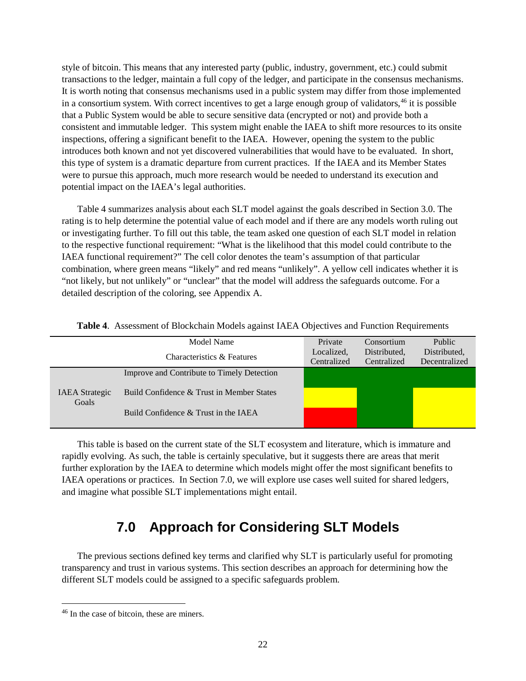style of bitcoin. This means that any interested party (public, industry, government, etc.) could submit transactions to the ledger, maintain a full copy of the ledger, and participate in the consensus mechanisms. It is worth noting that consensus mechanisms used in a public system may differ from those implemented in a consortium system. With correct incentives to get a large enough group of validators,  $46$  it is possible that a Public System would be able to secure sensitive data (encrypted or not) and provide both a consistent and immutable ledger. This system might enable the IAEA to shift more resources to its onsite inspections, offering a significant benefit to the IAEA. However, opening the system to the public introduces both known and not yet discovered vulnerabilities that would have to be evaluated. In short, this type of system is a dramatic departure from current practices. If the IAEA and its Member States were to pursue this approach, much more research would be needed to understand its execution and potential impact on the IAEA's legal authorities.

[Table 4](#page-24-1) summarizes analysis about each SLT model against the goals described in Section [3.0.](#page-14-0) The rating is to help determine the potential value of each model and if there are any models worth ruling out or investigating further. To fill out this table, the team asked one question of each SLT model in relation to the respective functional requirement: "What is the likelihood that this model could contribute to the IAEA functional requirement?" The cell color denotes the team's assumption of that particular combination, where green means "likely" and red means "unlikely". A yellow cell indicates whether it is "not likely, but not unlikely" or "unclear" that the model will address the safeguards outcome. For a detailed description of the coloring, see [Appendix A.](#page-35-0)

|                                | Model Name                                 | Private    | Consortium   | Public        |
|--------------------------------|--------------------------------------------|------------|--------------|---------------|
|                                | Characteristics & Features                 | Localized, | Distributed. | Distributed,  |
|                                |                                            |            | Centralized  | Decentralized |
|                                | Improve and Contribute to Timely Detection |            |              |               |
| <b>IAEA</b> Strategic<br>Goals |                                            |            |              |               |
|                                | Build Confidence & Trust in Member States  |            |              |               |
|                                |                                            |            |              |               |
|                                | Build Confidence $&$ Trust in the IAEA     |            |              |               |
|                                |                                            |            |              |               |

<span id="page-24-1"></span>

|  | Table 4. Assessment of Blockchain Models against IAEA Objectives and Function Requirements |  |  |  |
|--|--------------------------------------------------------------------------------------------|--|--|--|
|--|--------------------------------------------------------------------------------------------|--|--|--|

This table is based on the current state of the SLT ecosystem and literature, which is immature and rapidly evolving. As such, the table is certainly speculative, but it suggests there are areas that merit further exploration by the IAEA to determine which models might offer the most significant benefits to IAEA operations or practices. In Section [7.0,](#page-24-0) we will explore use cases well suited for shared ledgers, and imagine what possible SLT implementations might entail.

## **7.0 Approach for Considering SLT Models**

<span id="page-24-0"></span>The previous sections defined key terms and clarified why SLT is particularly useful for promoting transparency and trust in various systems. This section describes an approach for determining how the different SLT models could be assigned to a specific safeguards problem.

<span id="page-24-2"></span><sup>&</sup>lt;sup>46</sup> In the case of bitcoin, these are miners.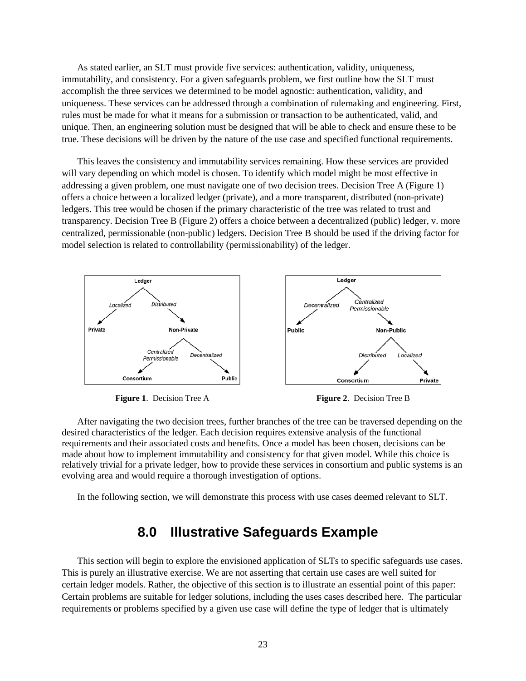As stated earlier, an SLT must provide five services: authentication, validity, uniqueness, immutability, and consistency. For a given safeguards problem, we first outline how the SLT must accomplish the three services we determined to be model agnostic: authentication, validity, and uniqueness. These services can be addressed through a combination of rulemaking and engineering. First, rules must be made for what it means for a submission or transaction to be authenticated, valid, and unique. Then, an engineering solution must be designed that will be able to check and ensure these to be true. These decisions will be driven by the nature of the use case and specified functional requirements.

This leaves the consistency and immutability services remaining. How these services are provided will vary depending on which model is chosen. To identify which model might be most effective in addressing a given problem, one must navigate one of two decision trees. Decision Tree A [\(Figure 1\)](#page-25-1) offers a choice between a localized ledger (private), and a more transparent, distributed (non-private) ledgers. This tree would be chosen if the primary characteristic of the tree was related to trust and transparency. Decision Tree B [\(Figure 2\)](#page-25-2) offers a choice between a decentralized (public) ledger, v. more centralized, permissionable (non-public) ledgers. Decision Tree B should be used if the driving factor for model selection is related to controllability (permissionability) of the ledger.



<span id="page-25-2"></span>**Figure 1.** Decision Tree A **Figure 2.** Decision Tree B

<span id="page-25-1"></span>After navigating the two decision trees, further branches of the tree can be traversed depending on the desired characteristics of the ledger. Each decision requires extensive analysis of the functional requirements and their associated costs and benefits. Once a model has been chosen, decisions can be made about how to implement immutability and consistency for that given model. While this choice is relatively trivial for a private ledger, how to provide these services in consortium and public systems is an evolving area and would require a thorough investigation of options.

<span id="page-25-0"></span>In the following section, we will demonstrate this process with use cases deemed relevant to SLT.

#### **8.0 Illustrative Safeguards Example**

This section will begin to explore the envisioned application of SLTs to specific safeguards use cases. This is purely an illustrative exercise. We are not asserting that certain use cases are well suited for certain ledger models. Rather, the objective of this section is to illustrate an essential point of this paper: Certain problems are suitable for ledger solutions, including the uses cases described here. The particular requirements or problems specified by a given use case will define the type of ledger that is ultimately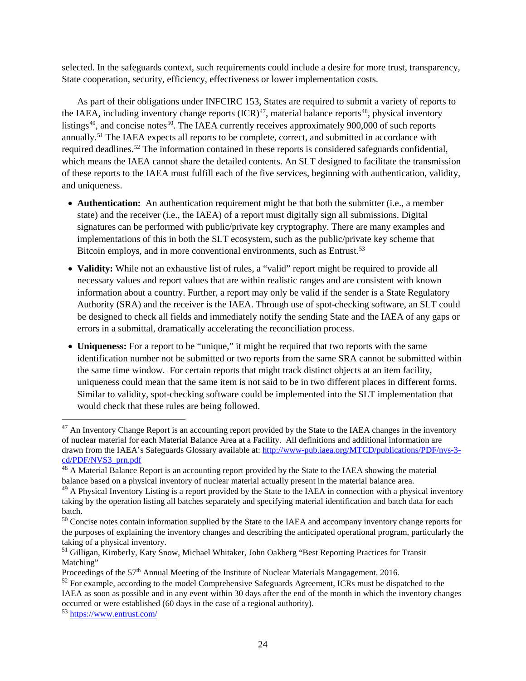selected. In the safeguards context, such requirements could include a desire for more trust, transparency, State cooperation, security, efficiency, effectiveness or lower implementation costs.

As part of their obligations under INFCIRC 153, States are required to submit a variety of reports to the IAEA, including inventory change reports  $(ICR)^{47}$  $(ICR)^{47}$  $(ICR)^{47}$ , material balance reports<sup>[48](#page-26-1)</sup>, physical inventory listings<sup>[49](#page-26-2)</sup>, and concise notes<sup>50</sup>. The IAEA currently receives approximately 900,000 of such reports annually.<sup>[51](#page-26-4)</sup> The IAEA expects all reports to be complete, correct, and submitted in accordance with required deadlines.<sup>[52](#page-26-5)</sup> The information contained in these reports is considered safeguards confidential, which means the IAEA cannot share the detailed contents. An SLT designed to facilitate the transmission of these reports to the IAEA must fulfill each of the five services, beginning with authentication, validity, and uniqueness.

- **Authentication:** An authentication requirement might be that both the submitter (i.e., a member state) and the receiver (i.e., the IAEA) of a report must digitally sign all submissions. Digital signatures can be performed with public/private key cryptography. There are many examples and implementations of this in both the SLT ecosystem, such as the public/private key scheme that Bitcoin employs, and in more conventional environments, such as Entrust.<sup>[53](#page-26-6)</sup>
- **Validity:** While not an exhaustive list of rules, a "valid" report might be required to provide all necessary values and report values that are within realistic ranges and are consistent with known information about a country. Further, a report may only be valid if the sender is a State Regulatory Authority (SRA) and the receiver is the IAEA. Through use of spot-checking software, an SLT could be designed to check all fields and immediately notify the sending State and the IAEA of any gaps or errors in a submittal, dramatically accelerating the reconciliation process.
- **Uniqueness:** For a report to be "unique," it might be required that two reports with the same identification number not be submitted or two reports from the same SRA cannot be submitted within the same time window. For certain reports that might track distinct objects at an item facility, uniqueness could mean that the same item is not said to be in two different places in different forms. Similar to validity, spot-checking software could be implemented into the SLT implementation that would check that these rules are being followed.

<span id="page-26-6"></span>

<span id="page-26-0"></span><sup>&</sup>lt;sup>47</sup> An Inventory Change Report is an accounting report provided by the State to the IAEA changes in the inventory of nuclear material for each Material Balance Area at a Facility. All definitions and additional information are drawn from the IAEA's Safeguards Glossary available at: [http://www-pub.iaea.org/MTCD/publications/PDF/nvs-3](http://www-pub.iaea.org/MTCD/publications/PDF/nvs-3-cd/PDF/NVS3_prn.pdf) [cd/PDF/NVS3\\_prn.pdf](http://www-pub.iaea.org/MTCD/publications/PDF/nvs-3-cd/PDF/NVS3_prn.pdf)

<span id="page-26-1"></span><sup>&</sup>lt;sup>48</sup> A Material Balance Report is an accounting report provided by the State to the IAEA showing the material balance based on a physical inventory of nuclear material actually present in the material balance area.

<span id="page-26-2"></span><sup>&</sup>lt;sup>49</sup> A Physical Inventory Listing is a report provided by the State to the IAEA in connection with a physical inventory taking by the operation listing all batches separately and specifying material identification and batch data for each batch.

<span id="page-26-3"></span><sup>&</sup>lt;sup>50</sup> Concise notes contain information supplied by the State to the IAEA and accompany inventory change reports for the purposes of explaining the inventory changes and describing the anticipated operational program, particularly the taking of a physical inventory.

<span id="page-26-4"></span><sup>&</sup>lt;sup>51</sup> Gilligan, Kimberly, Katy Snow, Michael Whitaker, John Oakberg "Best Reporting Practices for Transit Matching"

Proceedings of the 57<sup>th</sup> Annual Meeting of the Institute of Nuclear Materials Mangagement. 2016.

<span id="page-26-5"></span> $52$  For example, according to the model Comprehensive Safeguards Agreement. ICRs must be dispatched to the IAEA as soon as possible and in any event within 30 days after the end of the month in which the inventory changes occurred or were established (60 days in the case of a regional authority).<br>
<sup>53</sup> <https://www.entrust.com/>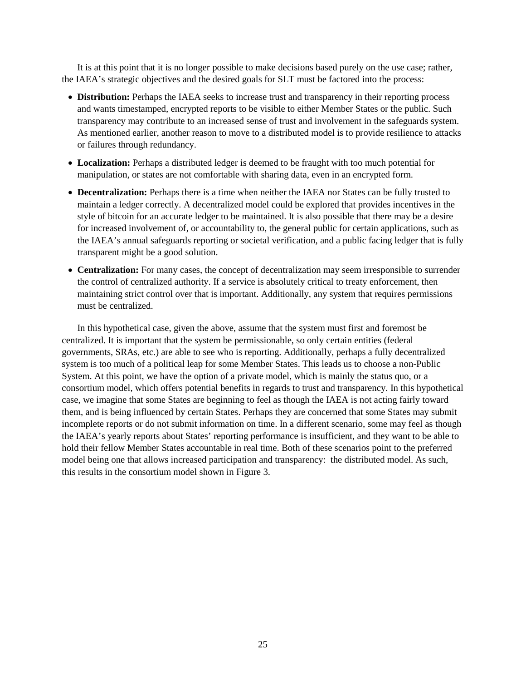It is at this point that it is no longer possible to make decisions based purely on the use case; rather, the IAEA's strategic objectives and the desired goals for SLT must be factored into the process:

- **Distribution:** Perhaps the IAEA seeks to increase trust and transparency in their reporting process and wants timestamped, encrypted reports to be visible to either Member States or the public. Such transparency may contribute to an increased sense of trust and involvement in the safeguards system. As mentioned earlier, another reason to move to a distributed model is to provide resilience to attacks or failures through redundancy.
- **Localization:** Perhaps a distributed ledger is deemed to be fraught with too much potential for manipulation, or states are not comfortable with sharing data, even in an encrypted form.
- **Decentralization:** Perhaps there is a time when neither the IAEA nor States can be fully trusted to maintain a ledger correctly. A decentralized model could be explored that provides incentives in the style of bitcoin for an accurate ledger to be maintained. It is also possible that there may be a desire for increased involvement of, or accountability to, the general public for certain applications, such as the IAEA's annual safeguards reporting or societal verification, and a public facing ledger that is fully transparent might be a good solution.
- **Centralization:** For many cases, the concept of decentralization may seem irresponsible to surrender the control of centralized authority. If a service is absolutely critical to treaty enforcement, then maintaining strict control over that is important. Additionally, any system that requires permissions must be centralized.

In this hypothetical case, given the above, assume that the system must first and foremost be centralized. It is important that the system be permissionable, so only certain entities (federal governments, SRAs, etc.) are able to see who is reporting. Additionally, perhaps a fully decentralized system is too much of a political leap for some Member States. This leads us to choose a non-Public System. At this point, we have the option of a private model, which is mainly the status quo, or a consortium model, which offers potential benefits in regards to trust and transparency. In this hypothetical case, we imagine that some States are beginning to feel as though the IAEA is not acting fairly toward them, and is being influenced by certain States. Perhaps they are concerned that some States may submit incomplete reports or do not submit information on time. In a different scenario, some may feel as though the IAEA's yearly reports about States' reporting performance is insufficient, and they want to be able to hold their fellow Member States accountable in real time. Both of these scenarios point to the preferred model being one that allows increased participation and transparency: the distributed model. As such, this results in the consortium model shown in [Figure 3.](#page-28-1)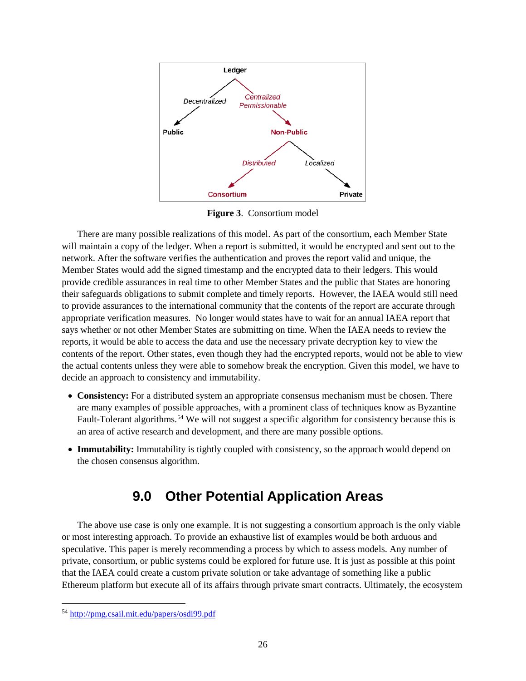

**Figure 3**. Consortium model

<span id="page-28-1"></span>There are many possible realizations of this model. As part of the consortium, each Member State will maintain a copy of the ledger. When a report is submitted, it would be encrypted and sent out to the network. After the software verifies the authentication and proves the report valid and unique, the Member States would add the signed timestamp and the encrypted data to their ledgers. This would provide credible assurances in real time to other Member States and the public that States are honoring their safeguards obligations to submit complete and timely reports. However, the IAEA would still need to provide assurances to the international community that the contents of the report are accurate through appropriate verification measures. No longer would states have to wait for an annual IAEA report that says whether or not other Member States are submitting on time. When the IAEA needs to review the reports, it would be able to access the data and use the necessary private decryption key to view the contents of the report. Other states, even though they had the encrypted reports, would not be able to view the actual contents unless they were able to somehow break the encryption. Given this model, we have to decide an approach to consistency and immutability.

- **Consistency:** For a distributed system an appropriate consensus mechanism must be chosen. There are many examples of possible approaches, with a prominent class of techniques know as Byzantine Fault-Tolerant algorithms.<sup>[54](#page-28-2)</sup> We will not suggest a specific algorithm for consistency because this is an area of active research and development, and there are many possible options.
- <span id="page-28-0"></span>• **Immutability:** Immutability is tightly coupled with consistency, so the approach would depend on the chosen consensus algorithm.

## **9.0 Other Potential Application Areas**

The above use case is only one example. It is not suggesting a consortium approach is the only viable or most interesting approach. To provide an exhaustive list of examples would be both arduous and speculative. This paper is merely recommending a process by which to assess models. Any number of private, consortium, or public systems could be explored for future use. It is just as possible at this point that the IAEA could create a custom private solution or take advantage of something like a public Ethereum platform but execute all of its affairs through private smart contracts. Ultimately, the ecosystem

<span id="page-28-2"></span> <sup>54</sup> <http://pmg.csail.mit.edu/papers/osdi99.pdf>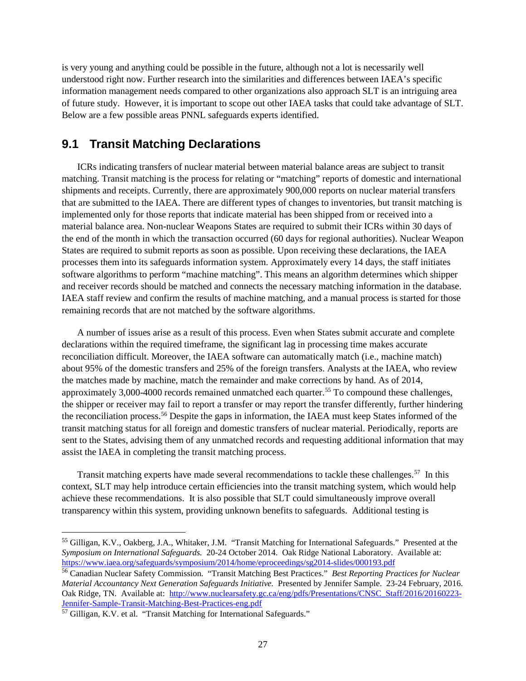is very young and anything could be possible in the future, although not a lot is necessarily well understood right now. Further research into the similarities and differences between IAEA's specific information management needs compared to other organizations also approach SLT is an intriguing area of future study. However, it is important to scope out other IAEA tasks that could take advantage of SLT. Below are a few possible areas PNNL safeguards experts identified.

#### <span id="page-29-0"></span>**9.1 Transit Matching Declarations**

ICRs indicating transfers of nuclear material between material balance areas are subject to transit matching. Transit matching is the process for relating or "matching" reports of domestic and international shipments and receipts. Currently, there are approximately 900,000 reports on nuclear material transfers that are submitted to the IAEA. There are different types of changes to inventories, but transit matching is implemented only for those reports that indicate material has been shipped from or received into a material balance area. Non-nuclear Weapons States are required to submit their ICRs within 30 days of the end of the month in which the transaction occurred (60 days for regional authorities). Nuclear Weapon States are required to submit reports as soon as possible. Upon receiving these declarations, the IAEA processes them into its safeguards information system. Approximately every 14 days, the staff initiates software algorithms to perform "machine matching". This means an algorithm determines which shipper and receiver records should be matched and connects the necessary matching information in the database. IAEA staff review and confirm the results of machine matching, and a manual process is started for those remaining records that are not matched by the software algorithms.

A number of issues arise as a result of this process. Even when States submit accurate and complete declarations within the required timeframe, the significant lag in processing time makes accurate reconciliation difficult. Moreover, the IAEA software can automatically match (i.e., machine match) about 95% of the domestic transfers and 25% of the foreign transfers. Analysts at the IAEA, who review the matches made by machine, match the remainder and make corrections by hand. As of 2014, approximately  $3,000-4000$  records remained unmatched each quarter.<sup>55</sup> To compound these challenges, the shipper or receiver may fail to report a transfer or may report the transfer differently, further hindering the reconciliation process.<sup>[56](#page-29-2)</sup> Despite the gaps in information, the IAEA must keep States informed of the transit matching status for all foreign and domestic transfers of nuclear material. Periodically, reports are sent to the States, advising them of any unmatched records and requesting additional information that may assist the IAEA in completing the transit matching process.

Transit matching experts have made several recommendations to tackle these challenges.<sup>[57](#page-29-3)</sup> In this context, SLT may help introduce certain efficiencies into the transit matching system, which would help achieve these recommendations. It is also possible that SLT could simultaneously improve overall transparency within this system, providing unknown benefits to safeguards. Additional testing is

<span id="page-29-1"></span> <sup>55</sup> Gilligan, K.V., Oakberg, J.A., Whitaker, J.M. "Transit Matching for International Safeguards." Presented at the *Symposium on International Safeguards.* 20-24 October 2014. Oak Ridge National Laboratory. Available at: <https://www.iaea.org/safeguards/symposium/2014/home/eproceedings/sg2014-slides/000193.pdf>

<span id="page-29-2"></span><sup>56</sup> Canadian Nuclear Safety Commission. "Transit Matching Best Practices." *Best Reporting Practices for Nuclear Material Accountancy Next Generation Safeguards Initiative.* Presented by Jennifer Sample. 23-24 February, 2016. Oak Ridge, TN. Available at: [http://www.nuclearsafety.gc.ca/eng/pdfs/Presentations/CNSC\\_Staff/2016/20160223-](http://www.nuclearsafety.gc.ca/eng/pdfs/Presentations/CNSC_Staff/2016/20160223-Jennifer-Sample-Transit-Matching-Best-Practices-eng.pdf)Jennifer-Sample-Transit-Matching-Best-Practices-eng.pdf

<span id="page-29-3"></span> $57$  Gilligan, K.V. et al. "Transit Matching for International Safeguards."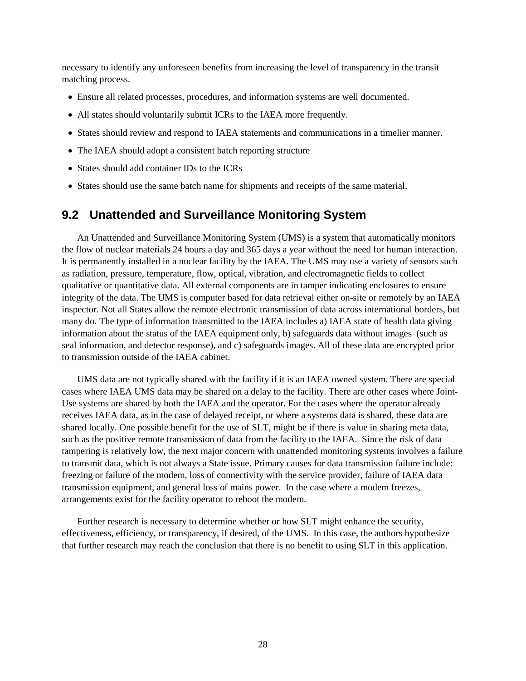necessary to identify any unforeseen benefits from increasing the level of transparency in the transit matching process.

- Ensure all related processes, procedures, and information systems are well documented.
- All states should voluntarily submit ICRs to the IAEA more frequently.
- States should review and respond to IAEA statements and communications in a timelier manner.
- The IAEA should adopt a consistent batch reporting structure
- States should add container IDs to the ICRs
- <span id="page-30-0"></span>• States should use the same batch name for shipments and receipts of the same material.

#### **9.2 Unattended and Surveillance Monitoring System**

An Unattended and Surveillance Monitoring System (UMS) is a system that automatically monitors the flow of nuclear materials 24 hours a day and 365 days a year without the need for human interaction. It is permanently installed in a nuclear facility by the IAEA. The UMS may use a variety of sensors such as radiation, pressure, temperature, flow, optical, vibration, and electromagnetic fields to collect qualitative or quantitative data. All external components are in tamper indicating enclosures to ensure integrity of the data. The UMS is computer based for data retrieval either on-site or remotely by an IAEA inspector. Not all States allow the remote electronic transmission of data across international borders, but many do. The type of information transmitted to the IAEA includes a) IAEA state of health data giving information about the status of the IAEA equipment only, b) safeguards data without images (such as seal information, and detector response), and c) safeguards images. All of these data are encrypted prior to transmission outside of the IAEA cabinet.

UMS data are not typically shared with the facility if it is an IAEA owned system. There are special cases where IAEA UMS data may be shared on a delay to the facility. There are other cases where Joint-Use systems are shared by both the IAEA and the operator. For the cases where the operator already receives IAEA data, as in the case of delayed receipt, or where a systems data is shared, these data are shared locally. One possible benefit for the use of SLT, might be if there is value in sharing meta data, such as the positive remote transmission of data from the facility to the IAEA. Since the risk of data tampering is relatively low, the next major concern with unattended monitoring systems involves a failure to transmit data, which is not always a State issue. Primary causes for data transmission failure include: freezing or failure of the modem, loss of connectivity with the service provider, failure of IAEA data transmission equipment, and general loss of mains power. In the case where a modem freezes, arrangements exist for the facility operator to reboot the modem.

Further research is necessary to determine whether or how SLT might enhance the security, effectiveness, efficiency, or transparency, if desired, of the UMS. In this case, the authors hypothesize that further research may reach the conclusion that there is no benefit to using SLT in this application.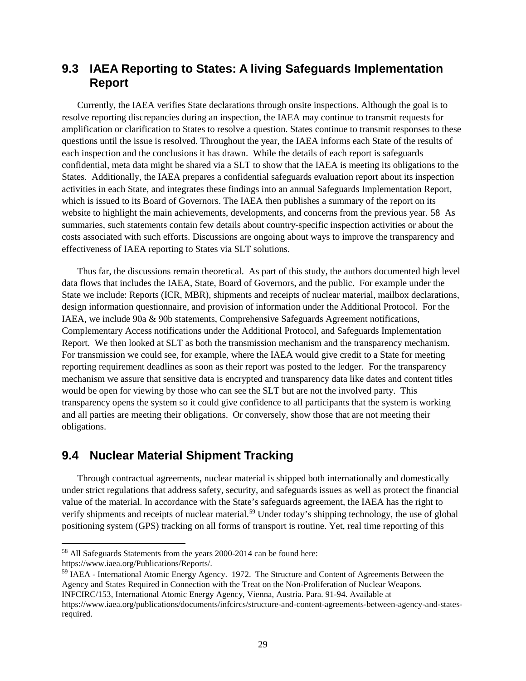#### <span id="page-31-0"></span>**9.3 IAEA Reporting to States: A living Safeguards Implementation Report**

Currently, the IAEA verifies State declarations through onsite inspections. Although the goal is to resolve reporting discrepancies during an inspection, the IAEA may continue to transmit requests for amplification or clarification to States to resolve a question. States continue to transmit responses to these questions until the issue is resolved. Throughout the year, the IAEA informs each State of the results of each inspection and the conclusions it has drawn. While the details of each report is safeguards confidential, meta data might be shared via a SLT to show that the IAEA is meeting its obligations to the States. Additionally, the IAEA prepares a confidential safeguards evaluation report about its inspection activities in each State, and integrates these findings into an annual Safeguards Implementation Report, which is issued to its Board of Governors. The IAEA then publishes a summary of the report on its website to highlight the main achievements, developments, and concerns from the previous year. [58](#page-31-2) As summaries, such statements contain few details about country-specific inspection activities or about the costs associated with such efforts. Discussions are ongoing about ways to improve the transparency and effectiveness of IAEA reporting to States via SLT solutions.

Thus far, the discussions remain theoretical. As part of this study, the authors documented high level data flows that includes the IAEA, State, Board of Governors, and the public. For example under the State we include: Reports (ICR, MBR), shipments and receipts of nuclear material, mailbox declarations, design information questionnaire, and provision of information under the Additional Protocol. For the IAEA, we include 90a & 90b statements, Comprehensive Safeguards Agreement notifications, Complementary Access notifications under the Additional Protocol, and Safeguards Implementation Report. We then looked at SLT as both the transmission mechanism and the transparency mechanism. For transmission we could see, for example, where the IAEA would give credit to a State for meeting reporting requirement deadlines as soon as their report was posted to the ledger. For the transparency mechanism we assure that sensitive data is encrypted and transparency data like dates and content titles would be open for viewing by those who can see the SLT but are not the involved party. This transparency opens the system so it could give confidence to all participants that the system is working and all parties are meeting their obligations. Or conversely, show those that are not meeting their obligations.

#### <span id="page-31-1"></span>**9.4 Nuclear Material Shipment Tracking**

Through contractual agreements, nuclear material is shipped both internationally and domestically under strict regulations that address safety, security, and safeguards issues as well as protect the financial value of the material. In accordance with the State's safeguards agreement, the IAEA has the right to verify shipments and receipts of nuclear material.<sup>[59](#page-31-3)</sup> Under today's shipping technology, the use of global positioning system (GPS) tracking on all forms of transport is routine. Yet, real time reporting of this

<span id="page-31-3"></span><sup>59</sup> IAEA - International Atomic Energy Agency. 1972. The Structure and Content of Agreements Between the Agency and States Required in Connection with the Treat on the Non-Proliferation of Nuclear Weapons. INFCIRC/153, International Atomic Energy Agency, Vienna, Austria. Para. 91-94. Available at

<span id="page-31-2"></span> <sup>58</sup> All Safeguards Statements from the years 2000-2014 can be found here:

https://www.iaea.org/Publications/Reports/.

https://www.iaea.org/publications/documents/infcircs/structure-and-content-agreements-between-agency-and-statesrequired.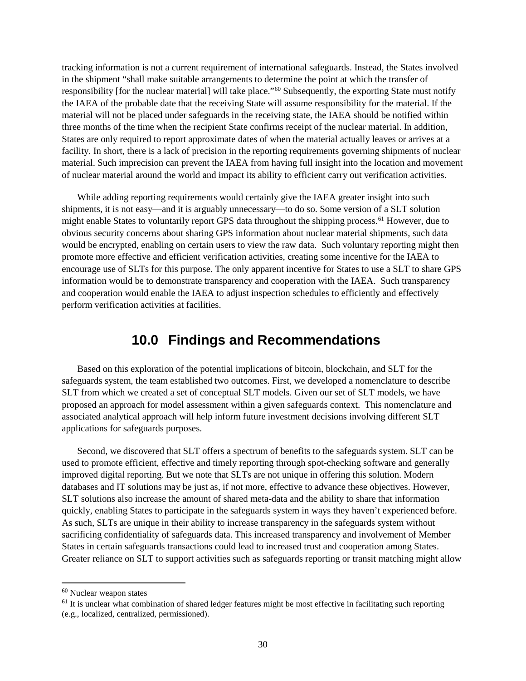tracking information is not a current requirement of international safeguards. Instead, the States involved in the shipment "shall make suitable arrangements to determine the point at which the transfer of responsibility [for the nuclear material] will take place."<sup>[60](#page-32-1)</sup> Subsequently, the exporting State must notify the IAEA of the probable date that the receiving State will assume responsibility for the material. If the material will not be placed under safeguards in the receiving state, the IAEA should be notified within three months of the time when the recipient State confirms receipt of the nuclear material. In addition, States are only required to report approximate dates of when the material actually leaves or arrives at a facility. In short, there is a lack of precision in the reporting requirements governing shipments of nuclear material. Such imprecision can prevent the IAEA from having full insight into the location and movement of nuclear material around the world and impact its ability to efficient carry out verification activities.

While adding reporting requirements would certainly give the IAEA greater insight into such shipments, it is not easy—and it is arguably unnecessary—to do so. Some version of a SLT solution might enable States to voluntarily report GPS data throughout the shipping process.<sup>[61](#page-32-2)</sup> However, due to obvious security concerns about sharing GPS information about nuclear material shipments, such data would be encrypted, enabling on certain users to view the raw data. Such voluntary reporting might then promote more effective and efficient verification activities, creating some incentive for the IAEA to encourage use of SLTs for this purpose. The only apparent incentive for States to use a SLT to share GPS information would be to demonstrate transparency and cooperation with the IAEA. Such transparency and cooperation would enable the IAEA to adjust inspection schedules to efficiently and effectively perform verification activities at facilities.

#### **10.0 Findings and Recommendations**

<span id="page-32-0"></span>Based on this exploration of the potential implications of bitcoin, blockchain, and SLT for the safeguards system, the team established two outcomes. First, we developed a nomenclature to describe SLT from which we created a set of conceptual SLT models. Given our set of SLT models, we have proposed an approach for model assessment within a given safeguards context. This nomenclature and associated analytical approach will help inform future investment decisions involving different SLT applications for safeguards purposes.

Second, we discovered that SLT offers a spectrum of benefits to the safeguards system. SLT can be used to promote efficient, effective and timely reporting through spot-checking software and generally improved digital reporting. But we note that SLTs are not unique in offering this solution. Modern databases and IT solutions may be just as, if not more, effective to advance these objectives. However, SLT solutions also increase the amount of shared meta-data and the ability to share that information quickly, enabling States to participate in the safeguards system in ways they haven't experienced before. As such, SLTs are unique in their ability to increase transparency in the safeguards system without sacrificing confidentiality of safeguards data. This increased transparency and involvement of Member States in certain safeguards transactions could lead to increased trust and cooperation among States. Greater reliance on SLT to support activities such as safeguards reporting or transit matching might allow

<span id="page-32-1"></span> <sup>60</sup> Nuclear weapon states

<span id="page-32-2"></span> $<sup>61</sup>$  It is unclear what combination of shared ledger features might be most effective in facilitating such reporting</sup> (e.g., localized, centralized, permissioned).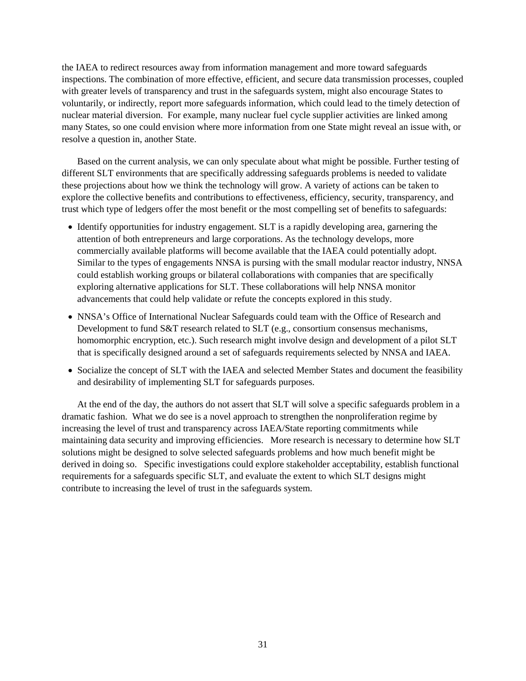the IAEA to redirect resources away from information management and more toward safeguards inspections. The combination of more effective, efficient, and secure data transmission processes, coupled with greater levels of transparency and trust in the safeguards system, might also encourage States to voluntarily, or indirectly, report more safeguards information, which could lead to the timely detection of nuclear material diversion. For example, many nuclear fuel cycle supplier activities are linked among many States, so one could envision where more information from one State might reveal an issue with, or resolve a question in, another State.

Based on the current analysis, we can only speculate about what might be possible. Further testing of different SLT environments that are specifically addressing safeguards problems is needed to validate these projections about how we think the technology will grow. A variety of actions can be taken to explore the collective benefits and contributions to effectiveness, efficiency, security, transparency, and trust which type of ledgers offer the most benefit or the most compelling set of benefits to safeguards:

- Identify opportunities for industry engagement. SLT is a rapidly developing area, garnering the attention of both entrepreneurs and large corporations. As the technology develops, more commercially available platforms will become available that the IAEA could potentially adopt. Similar to the types of engagements NNSA is pursing with the small modular reactor industry, NNSA could establish working groups or bilateral collaborations with companies that are specifically exploring alternative applications for SLT. These collaborations will help NNSA monitor advancements that could help validate or refute the concepts explored in this study.
- NNSA's Office of International Nuclear Safeguards could team with the Office of Research and Development to fund S&T research related to SLT (e.g., consortium consensus mechanisms, homomorphic encryption, etc.). Such research might involve design and development of a pilot SLT that is specifically designed around a set of safeguards requirements selected by NNSA and IAEA.
- Socialize the concept of SLT with the IAEA and selected Member States and document the feasibility and desirability of implementing SLT for safeguards purposes.

At the end of the day, the authors do not assert that SLT will solve a specific safeguards problem in a dramatic fashion. What we do see is a novel approach to strengthen the nonproliferation regime by increasing the level of trust and transparency across IAEA/State reporting commitments while maintaining data security and improving efficiencies. More research is necessary to determine how SLT solutions might be designed to solve selected safeguards problems and how much benefit might be derived in doing so. Specific investigations could explore stakeholder acceptability, establish functional requirements for a safeguards specific SLT, and evaluate the extent to which SLT designs might contribute to increasing the level of trust in the safeguards system.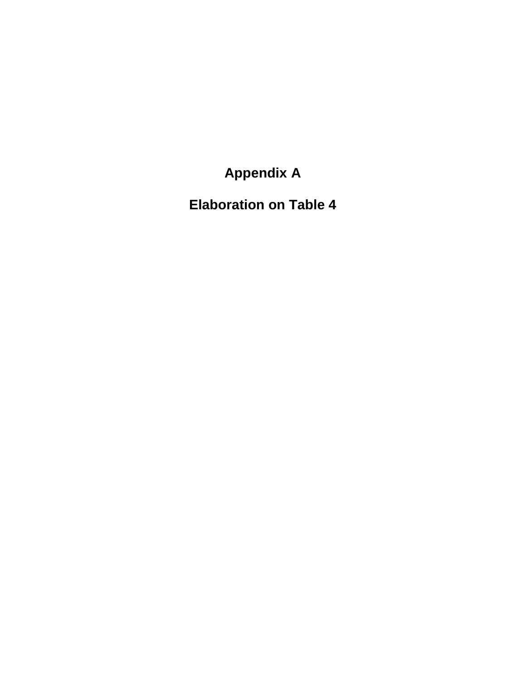**Appendix A**

<span id="page-35-0"></span>**Elaboration on [Table 4](#page-24-1)**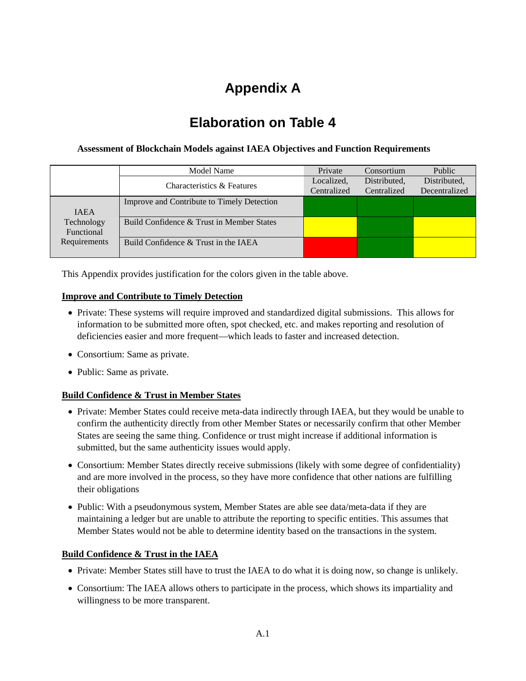# **Appendix A**

## **Elaboration on [Table 4](#page-24-1)**

#### **Assessment of Blockchain Models against IAEA Objectives and Function Requirements**

|              | Model Name                                 | Private     | Consortium   | Public        |
|--------------|--------------------------------------------|-------------|--------------|---------------|
|              | Characteristics & Features                 | Localized,  | Distributed, | Distributed,  |
|              |                                            | Centralized | Centralized  | Decentralized |
|              | Improve and Contribute to Timely Detection |             |              |               |
| <b>IAEA</b>  |                                            |             |              |               |
| Technology   | Build Confidence & Trust in Member States  |             |              |               |
| Functional   |                                            |             |              |               |
| Requirements | Build Confidence & Trust in the IAEA       |             |              |               |
|              |                                            |             |              |               |

This Appendix provides justification for the colors given in the table above.

#### **Improve and Contribute to Timely Detection**

- Private: These systems will require improved and standardized digital submissions. This allows for information to be submitted more often, spot checked, etc. and makes reporting and resolution of deficiencies easier and more frequent—which leads to faster and increased detection.
- Consortium: Same as private.
- Public: Same as private.

#### **Build Confidence & Trust in Member States**

- Private: Member States could receive meta-data indirectly through IAEA, but they would be unable to confirm the authenticity directly from other Member States or necessarily confirm that other Member States are seeing the same thing. Confidence or trust might increase if additional information is submitted, but the same authenticity issues would apply.
- Consortium: Member States directly receive submissions (likely with some degree of confidentiality) and are more involved in the process, so they have more confidence that other nations are fulfilling their obligations
- Public: With a pseudonymous system, Member States are able see data/meta-data if they are maintaining a ledger but are unable to attribute the reporting to specific entities. This assumes that Member States would not be able to determine identity based on the transactions in the system.

#### **Build Confidence & Trust in the IAEA**

- Private: Member States still have to trust the IAEA to do what it is doing now, so change is unlikely.
- Consortium: The IAEA allows others to participate in the process, which shows its impartiality and willingness to be more transparent.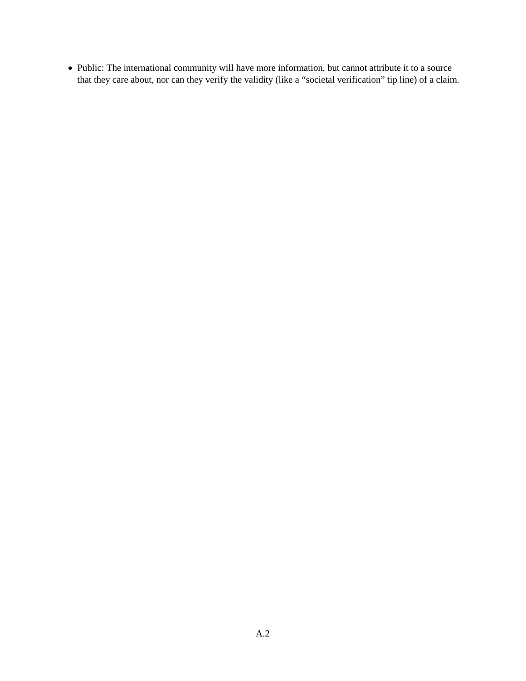• Public: The international community will have more information, but cannot attribute it to a source that they care about, nor can they verify the validity (like a "societal verification" tip line) of a claim.